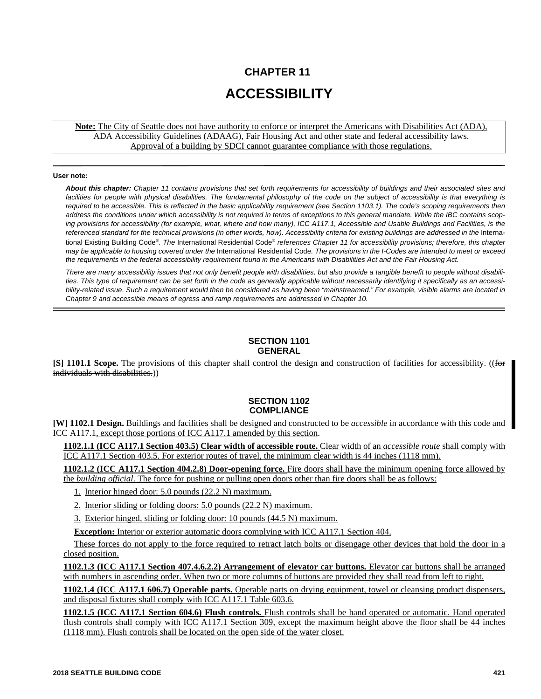# **CHAPTER 11 ACCESSIBILITY**

**Note:** The City of Seattle does not have authority to enforce or interpret the Americans with Disabilities Act (ADA), ADA Accessibility Guidelines (ADAAG), Fair Housing Act and other state and federal accessibility laws. Approval of a building by SDCI cannot guarantee compliance with those regulations.

#### **User note:**

*About this chapter: Chapter 11 contains provisions that set forth requirements for accessibility of buildings and their associated sites and* facilities for people with physical disabilities. The fundamental philosophy of the code on the subject of accessibility is that everything is *required to be accessible. This is reflected in the basic applicability requirement (see Section 1103.1). The code's scoping requirements then address the conditions under which accessibility is not required in terms of exceptions to this general mandate. While the IBC contains scoping provisions for accessibility (for example, what, where and how many), ICC A117.1, Accessible and Usable Buildings and Facilities, is the* referenced standard for the technical provisions (in other words, how). Accessibility criteria for existing buildings are addressed in the International Existing Building Code® *. The* International Residential Code®  *references Chapter 11 for accessibility provisions; therefore, this chapter may be applicable to housing covered under the* International Residential Code*. The provisions in the I-Codes are intended to meet or exceed the requirements in the federal accessibility requirement found in the Americans with Disabilities Act and the Fair Housing Act.*

*There are many accessibility issues that not only benefit people with disabilities, but also provide a tangible benefit to people without disabilities. This type of requirement can be set forth in the code as generally applicable without necessarily identifying it specifically as an accessibility-related issue. Such a requirement would then be considered as having been "mainstreamed." For example, visible alarms are located in Chapter 9 and accessible means of egress and ramp requirements are addressed in Chapter 10.*

#### **SECTION 1101 GENERAL**

**[S] 1101.1 Scope.** The provisions of this chapter shall control the design and construction of facilities for accessibility. ((for individuals with disabilities.))

## **SECTION 1102 COMPLIANCE**

**[W] 1102.1 Design.** Buildings and facilities shall be designed and constructed to be *accessible* in accordance with this code and ICC A117.1, except those portions of ICC A117.1 amended by this section.

**1102.1.1 (ICC A117.1 Section 403.5) Clear width of accessible route.** Clear width of an *accessible route* shall comply with ICC A117.1 Section 403.5. For exterior routes of travel, the minimum clear width is 44 inches (1118 mm).

**1102.1.2 (ICC A117.1 Section 404.2.8) Door-opening force.** Fire doors shall have the minimum opening force allowed by the *building official*. The force for pushing or pulling open doors other than fire doors shall be as follows:

- 1. Interior hinged door: 5.0 pounds (22.2 N) maximum.
- 2. Interior sliding or folding doors: 5.0 pounds (22.2 N) maximum.
- 3. Exterior hinged, sliding or folding door: 10 pounds (44.5 N) maximum.

**Exception:** Interior or exterior automatic doors complying with ICC A117.1 Section 404.

These forces do not apply to the force required to retract latch bolts or disengage other devices that hold the door in a closed position.

**1102.1.3 (ICC A117.1 Section 407.4.6.2.2) Arrangement of elevator car buttons.** Elevator car buttons shall be arranged with numbers in ascending order. When two or more columns of buttons are provided they shall read from left to right.

**1102.1.4 (ICC A117.1 606.7) Operable parts.** Operable parts on drying equipment, towel or cleansing product dispensers, and disposal fixtures shall comply with ICC A117.1 Table 603.6.

**1102.1.5 (ICC A117.1 Section 604.6) Flush controls.** Flush controls shall be hand operated or automatic. Hand operated flush controls shall comply with ICC A117.1 Section 309, except the maximum height above the floor shall be 44 inches (1118 mm). Flush controls shall be located on the open side of the water closet.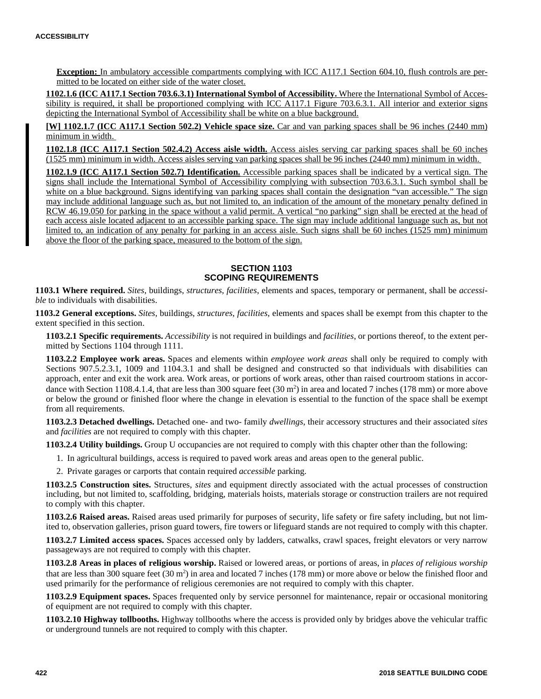**Exception:** In ambulatory accessible compartments complying with ICC A117.1 Section 604.10, flush controls are permitted to be located on either side of the water closet.

**1102.1.6 (ICC A117.1 Section 703.6.3.1) International Symbol of Accessibility.** Where the International Symbol of Accessibility is required, it shall be proportioned complying with ICC A117.1 Figure 703.6.3.1. All interior and exterior signs depicting the International Symbol of Accessibility shall be white on a blue background.

**[W] 1102.1.7 (ICC A117.1 Section 502.2) Vehicle space size.** Car and van parking spaces shall be 96 inches (2440 mm) minimum in width.

**1102.1.8 (ICC A117.1 Section 502.4.2) Access aisle width.** Access aisles serving car parking spaces shall be 60 inches (1525 mm) minimum in width. Access aisles serving van parking spaces shall be 96 inches (2440 mm) minimum in width.

**1102.1.9 (ICC A117.1 Section 502.7) Identification.** Accessible parking spaces shall be indicated by a vertical sign. The signs shall include the International Symbol of Accessibility complying with subsection 703.6.3.1. Such symbol shall be white on a blue background. Signs identifying van parking spaces shall contain the designation "van accessible." The sign may include additional language such as, but not limited to, an indication of the amount of the monetary penalty defined in RCW 46.19.050 for parking in the space without a valid permit. A vertical "no parking" sign shall be erected at the head of each access aisle located adjacent to an accessible parking space. The sign may include additional language such as, but not limited to, an indication of any penalty for parking in an access aisle. Such signs shall be 60 inches (1525 mm) minimum above the floor of the parking space, measured to the bottom of the sign.

# **SECTION 1103 SCOPING REQUIREMENTS**

**1103.1 Where required.** *Sites*, buildings, *structures*, *facilities*, elements and spaces, temporary or permanent, shall be *accessible* to individuals with disabilities.

**1103.2 General exceptions.** *Sites*, buildings, *structures*, *facilities*, elements and spaces shall be exempt from this chapter to the extent specified in this section.

**1103.2.1 Specific requirements.** *Accessibility* is not required in buildings and *facilities*, or portions thereof, to the extent permitted by Sections 1104 through 1111.

**1103.2.2 Employee work areas.** Spaces and elements within *employee work areas* shall only be required to comply with Sections 907.5.2.3.1, 1009 and 1104.3.1 and shall be designed and constructed so that individuals with disabilities can approach, enter and exit the work area. Work areas, or portions of work areas, other than raised courtroom stations in accordance with Section 1108.4.1.4, that are less than 300 square feet  $(30 \text{ m}^2)$  in area and located 7 inches  $(178 \text{ mm})$  or more above or below the ground or finished floor where the change in elevation is essential to the function of the space shall be exempt from all requirements.

**1103.2.3 Detached dwellings.** Detached one- and two- family *dwellings*, their accessory structures and their associated *sites* and *facilities* are not required to comply with this chapter.

**1103.2.4 Utility buildings.** Group U occupancies are not required to comply with this chapter other than the following:

- 1. In agricultural buildings, access is required to paved work areas and areas open to the general public.
- 2. Private garages or carports that contain required *accessible* parking.

**1103.2.5 Construction sites.** Structures, *sites* and equipment directly associated with the actual processes of construction including, but not limited to, scaffolding, bridging, materials hoists, materials storage or construction trailers are not required to comply with this chapter.

**1103.2.6 Raised areas.** Raised areas used primarily for purposes of security, life safety or fire safety including, but not limited to, observation galleries, prison guard towers, fire towers or lifeguard stands are not required to comply with this chapter.

**1103.2.7 Limited access spaces.** Spaces accessed only by ladders, catwalks, crawl spaces, freight elevators or very narrow passageways are not required to comply with this chapter.

**1103.2.8 Areas in places of religious worship.** Raised or lowered areas, or portions of areas, in *places of religious worship* that are less than 300 square feet  $(30 \text{ m}^2)$  in area and located 7 inches  $(178 \text{ mm})$  or more above or below the finished floor and used primarily for the performance of religious ceremonies are not required to comply with this chapter.

**1103.2.9 Equipment spaces.** Spaces frequented only by service personnel for maintenance, repair or occasional monitoring of equipment are not required to comply with this chapter.

**1103.2.10 Highway tollbooths.** Highway tollbooths where the access is provided only by bridges above the vehicular traffic or underground tunnels are not required to comply with this chapter.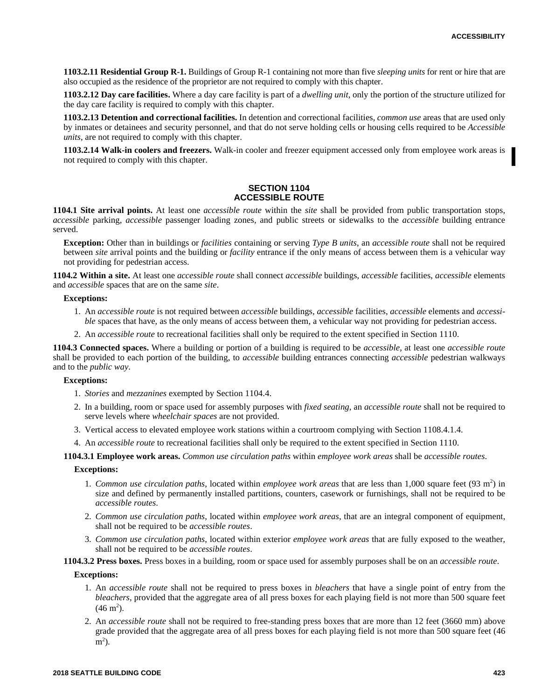**1103.2.11 Residential Group R-1.** Buildings of Group R-1 containing not more than five *sleeping units* for rent or hire that are also occupied as the residence of the proprietor are not required to comply with this chapter.

**1103.2.12 Day care facilities.** Where a day care facility is part of a *dwelling unit*, only the portion of the structure utilized for the day care facility is required to comply with this chapter.

**1103.2.13 Detention and correctional facilities.** In detention and correctional facilities, *common use* areas that are used only by inmates or detainees and security personnel, and that do not serve holding cells or housing cells required to be *Accessible units*, are not required to comply with this chapter.

**1103.2.14 Walk-in coolers and freezers.** Walk-in cooler and freezer equipment accessed only from employee work areas is not required to comply with this chapter.

## **SECTION 1104 ACCESSIBLE ROUTE**

**1104.1 Site arrival points.** At least one *accessible route* within the *site* shall be provided from public transportation stops, *accessible* parking, *accessible* passenger loading zones, and public streets or sidewalks to the *accessible* building entrance served.

**Exception:** Other than in buildings or *facilities* containing or serving *Type B units*, an *accessible route* shall not be required between *site* arrival points and the building or *facility* entrance if the only means of access between them is a vehicular way not providing for pedestrian access.

**1104.2 Within a site.** At least one *accessible route* shall connect *accessible* buildings, *accessible* facilities, *accessible* elements and *accessible* spaces that are on the same *site*.

#### **Exceptions:**

- 1. An *accessible route* is not required between *accessible* buildings, *accessible* facilities, *accessible* elements and *accessible* spaces that have, as the only means of access between them, a vehicular way not providing for pedestrian access.
- 2. An *accessible route* to recreational facilities shall only be required to the extent specified in Section 1110.

**1104.3 Connected spaces.** Where a building or portion of a building is required to be *accessible*, at least one *accessible route* shall be provided to each portion of the building, to *accessible* building entrances connecting *accessible* pedestrian walkways and to the *public way*.

#### **Exceptions:**

- 1. *Stories* and *mezzanines* exempted by Section 1104.4.
- 2. In a building, room or space used for assembly purposes with *fixed seating*, an *accessible route* shall not be required to serve levels where *wheelchair spaces* are not provided.
- 3. Vertical access to elevated employee work stations within a courtroom complying with Section 1108.4.1.4.
- 4. An *accessible route* to recreational facilities shall only be required to the extent specified in Section 1110.

**1104.3.1 Employee work areas.** *Common use circulation paths* within *employee work areas* shall be *accessible routes*.

#### **Exceptions:**

- 1. *Common use circulation paths*, located within *employee work areas* that are less than 1,000 square feet (93 m<sup>2</sup>) in size and defined by permanently installed partitions, counters, casework or furnishings, shall not be required to be *accessible routes*.
- 2. *Common use circulation paths*, located within *employee work areas*, that are an integral component of equipment, shall not be required to be *accessible routes*.
- 3. *Common use circulation paths*, located within exterior *employee work areas* that are fully exposed to the weather, shall not be required to be *accessible routes*.

**1104.3.2 Press boxes.** Press boxes in a building, room or space used for assembly purposes shall be on an *accessible route*.

#### **Exceptions:**

- 1. An *accessible route* shall not be required to press boxes in *bleachers* that have a single point of entry from the *bleachers*, provided that the aggregate area of all press boxes for each playing field is not more than 500 square feet  $(46 \text{ m}^2)$ .
- 2. An *accessible route* shall not be required to free-standing press boxes that are more than 12 feet (3660 mm) above grade provided that the aggregate area of all press boxes for each playing field is not more than 500 square feet (46  $m<sup>2</sup>$ ).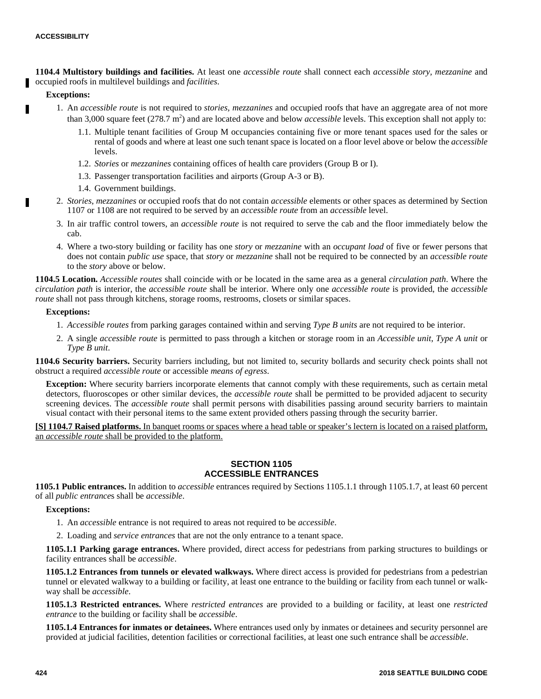**1104.4 Multistory buildings and facilities.** At least one *accessible route* shall connect each *accessible story, mezzanine* and occupied roofs in multilevel buildings and *facilities*.

## **Exceptions:**

Ш

- 1. An *accessible route* is not required to *stories, mezzanines* and occupied roofs that have an aggregate area of not more than 3,000 square feet  $(278.7 \text{ m}^2)$  and are located above and below *accessible* levels. This exception shall not apply to:
	- 1.1. Multiple tenant facilities of Group M occupancies containing five or more tenant spaces used for the sales or rental of goods and where at least one such tenant space is located on a floor level above or below the *accessible* levels.
	- 1.2. *Stories* or *mezzanines* containing offices of health care providers (Group B or I).
	- 1.3. Passenger transportation facilities and airports (Group A-3 or B).
	- 1.4. Government buildings.
- 2. *Stories*, *mezzanines* or occupied roofs that do not contain *accessible* elements or other spaces as determined by Section 1107 or 1108 are not required to be served by an *accessible route* from an *accessible* level.
- 3. In air traffic control towers, an *accessible route* is not required to serve the cab and the floor immediately below the cab.
- 4. Where a two-story building or facility has one *story* or *mezzanine* with an *occupant load* of five or fewer persons that does not contain *public use* space, that *story* or *mezzanine* shall not be required to be connected by an *accessible route* to the *story* above or below.

**1104.5 Location.** *Accessible routes* shall coincide with or be located in the same area as a general *circulation path*. Where the *circulation path* is interior, the *accessible route* shall be interior. Where only one *accessible route* is provided, the *accessible route* shall not pass through kitchens, storage rooms, restrooms, closets or similar spaces.

#### **Exceptions:**

- 1. *Accessible routes* from parking garages contained within and serving *Type B units* are not required to be interior.
- 2. A single *accessible route* is permitted to pass through a kitchen or storage room in an *Accessible unit*, *Type A unit* or *Type B unit*.

**1104.6 Security barriers.** Security barriers including, but not limited to, security bollards and security check points shall not obstruct a required *accessible route* or accessible *means of egress*.

**Exception:** Where security barriers incorporate elements that cannot comply with these requirements, such as certain metal detectors, fluoroscopes or other similar devices, the *accessible route* shall be permitted to be provided adjacent to security screening devices. The *accessible route* shall permit persons with disabilities passing around security barriers to maintain visual contact with their personal items to the same extent provided others passing through the security barrier.

**[S] 1104.7 Raised platforms.** In banquet rooms or spaces where a head table or speaker's lectern is located on a raised platform, an *accessible route* shall be provided to the platform.

## **SECTION 1105 ACCESSIBLE ENTRANCES**

**1105.1 Public entrances.** In addition to *accessible* entrances required by Sections 1105.1.1 through 1105.1.7, at least 60 percent of all *public entrance*s shall be *accessible*.

## **Exceptions:**

- 1. An *accessible* entrance is not required to areas not required to be *accessible*.
- 2. Loading and *service entrances* that are not the only entrance to a tenant space.

**1105.1.1 Parking garage entrances.** Where provided, direct access for pedestrians from parking structures to buildings or facility entrances shall be *accessible*.

**1105.1.2 Entrances from tunnels or elevated walkways.** Where direct access is provided for pedestrians from a pedestrian tunnel or elevated walkway to a building or facility, at least one entrance to the building or facility from each tunnel or walkway shall be *accessible*.

**1105.1.3 Restricted entrances.** Where *restricted entrances* are provided to a building or facility, at least one *restricted entrance* to the building or facility shall be *accessible*.

**1105.1.4 Entrances for inmates or detainees.** Where entrances used only by inmates or detainees and security personnel are provided at judicial facilities, detention facilities or correctional facilities, at least one such entrance shall be *accessible*.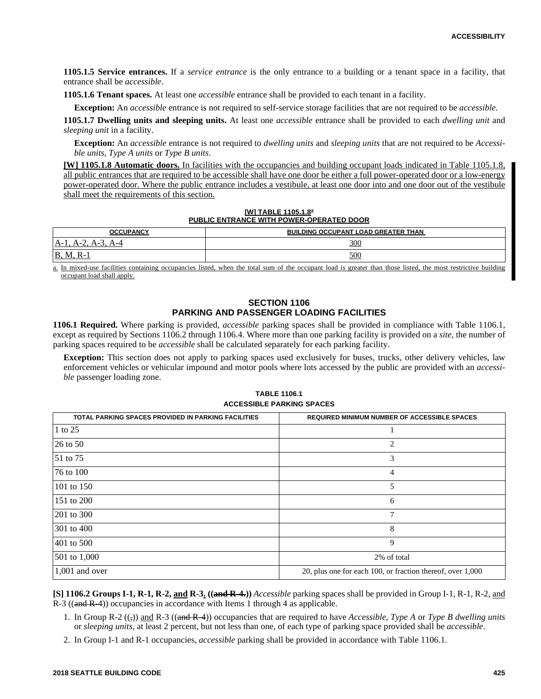**1105.1.5 Service entrances.** If a *service entrance* is the only entrance to a building or a tenant space in a facility, that entrance shall be *accessible*.

**1105.1.6 Tenant spaces.** At least one *accessible* entrance shall be provided to each tenant in a facility.

**Exception:** An *accessible* entrance is not required to self-service storage facilities that are not required to be *accessible*.

**1105.1.7 Dwelling units and sleeping units.** At least one *accessible* entrance shall be provided to each *dwelling unit* and *sleeping unit* in a facility.

**Exception:** An *accessible* entrance is not required to *dwelling units* and *sleeping units* that are not required to be *Accessible units*, *Type A units* or *Type B units*.

**[W] 1105.1.8 Automatic doors.** In facilities with the occupancies and building occupant loads indicated in Table 1105.1.8, all public entrances that are required to be accessible shall have one door be either a full power-operated door or a low-energy power-operated door. Where the public entrance includes a vestibule, at least one door into and one door out of the vestibule shall meet the requirements of this section.

#### **[W] TABLE 1105.1.8<sup>a</sup> PUBLIC ENTRANCE WITH POWER-OPERATED DOOR**

| <b>OCCUPANCY</b>           | <b>BUILDING OCCUPANT LOAD GREATER THAN</b> |
|----------------------------|--------------------------------------------|
| .A-J<br>$A - 4$<br>$A - I$ | <u>300</u>                                 |
| <b>B</b> , M,<br>$K-1$     | 500                                        |

a. In mixed-use facilities containing occupancies listed, when the total sum of the occupant load is greater than those listed, the most restrictive building occupant load shall apply.

## **SECTION 1106 PARKING AND PASSENGER LOADING FACILITIES**

**1106.1 Required.** Where parking is provided, *accessible* parking spaces shall be provided in compliance with Table 1106.1, except as required by Sections 1106.2 through 1106.4. Where more than one parking facility is provided on a *site*, the number of parking spaces required to be *accessible* shall be calculated separately for each parking facility.

**Exception:** This section does not apply to parking spaces used exclusively for buses, trucks, other delivery vehicles, law enforcement vehicles or vehicular impound and motor pools where lots accessed by the public are provided with an *accessible* passenger loading zone.

| <b>TABLE 1106.1</b>              |  |  |
|----------------------------------|--|--|
| <b>ACCESSIBLE PARKING SPACES</b> |  |  |

| TOTAL PARKING SPACES PROVIDED IN PARKING FACILITIES | <b>REQUIRED MINIMUM NUMBER OF ACCESSIBLE SPACES</b>        |
|-----------------------------------------------------|------------------------------------------------------------|
| 1 to 25                                             |                                                            |
| 26 to 50                                            | 2                                                          |
| 51 to 75                                            | 3                                                          |
| 76 to 100                                           | 4                                                          |
| 101 to 150                                          | 5                                                          |
| 151 to 200                                          | 6                                                          |
| 201 to 300                                          | 7                                                          |
| 301 to 400                                          | 8                                                          |
| 401 to 500                                          | 9                                                          |
| 501 to 1,000                                        | 2% of total                                                |
| $1,001$ and over                                    | 20, plus one for each 100, or fraction thereof, over 1,000 |

**[S] 1106.2 Groups I-1, R-1, R-2, and R-3. ((and R-4.))** *Accessible* parking spaces shall be provided in Group I-1, R-1, R-2, and R-3 ( $(and R-4)$ ) occupancies in accordance with Items 1 through 4 as applicable.

- 1. In Group R-2 ((,)) and R-3 ((and R-4)) occupancies that are required to have *Accessible*, *Type A* or *Type B dwelling units* or *sleeping units*, at least 2 percent, but not less than one, of each type of parking space provided shall be *accessible*.
- 2. In Group I-1 and R-1 occupancies, *accessible* parking shall be provided in accordance with Table 1106.1.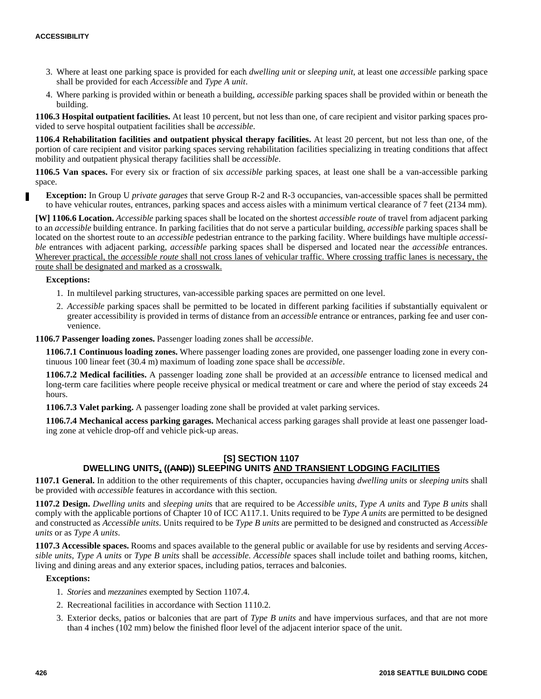- 3. Where at least one parking space is provided for each *dwelling unit* or *sleeping unit*, at least one *accessible* parking space shall be provided for each *Accessible* and *Type A unit*.
- 4. Where parking is provided within or beneath a building, *accessible* parking spaces shall be provided within or beneath the building.

**1106.3 Hospital outpatient facilities.** At least 10 percent, but not less than one, of care recipient and visitor parking spaces provided to serve hospital outpatient facilities shall be *accessible*.

**1106.4 Rehabilitation facilities and outpatient physical therapy facilities.** At least 20 percent, but not less than one, of the portion of care recipient and visitor parking spaces serving rehabilitation facilities specializing in treating conditions that affect mobility and outpatient physical therapy facilities shall be *accessible*.

**1106.5 Van spaces.** For every six or fraction of six *accessible* parking spaces, at least one shall be a van-accessible parking space.

**Exception:** In Group U *private garages* that serve Group R-2 and R-3 occupancies, van-accessible spaces shall be permitted to have vehicular routes, entrances, parking spaces and access aisles with a minimum vertical clearance of 7 feet (2134 mm).

**[W] 1106.6 Location.** *Accessible* parking spaces shall be located on the shortest *accessible route* of travel from adjacent parking to an *accessible* building entrance. In parking facilities that do not serve a particular building, *accessible* parking spaces shall be located on the shortest route to an *accessible* pedestrian entrance to the parking facility. Where buildings have multiple *accessible* entrances with adjacent parking, *accessible* parking spaces shall be dispersed and located near the *accessible* entrances. Wherever practical, the *accessible route* shall not cross lanes of vehicular traffic. Where crossing traffic lanes is necessary, the route shall be designated and marked as a crosswalk.

## **Exceptions:**

- 1. In multilevel parking structures, van-accessible parking spaces are permitted on one level.
- 2. *Accessible* parking spaces shall be permitted to be located in different parking facilities if substantially equivalent or greater accessibility is provided in terms of distance from an *accessible* entrance or entrances, parking fee and user convenience.

**1106.7 Passenger loading zones.** Passenger loading zones shall be *accessible*.

**1106.7.1 Continuous loading zones.** Where passenger loading zones are provided, one passenger loading zone in every continuous 100 linear feet (30.4 m) maximum of loading zone space shall be *accessible*.

**1106.7.2 Medical facilities.** A passenger loading zone shall be provided at an *accessible* entrance to licensed medical and long-term care facilities where people receive physical or medical treatment or care and where the period of stay exceeds 24 hours.

**1106.7.3 Valet parking.** A passenger loading zone shall be provided at valet parking services.

**1106.7.4 Mechanical access parking garages.** Mechanical access parking garages shall provide at least one passenger loading zone at vehicle drop-off and vehicle pick-up areas.

# **[S] SECTION 1107 DWELLING UNITS, ((AND)) SLEEPING UNITS AND TRANSIENT LODGING FACILITIES**

**1107.1 General.** In addition to the other requirements of this chapter, occupancies having *dwelling units* or *sleeping unit*s shall be provided with *accessible* features in accordance with this section.

**1107.2 Design.** *Dwelling units* and *sleeping unit*s that are required to be *Accessible units*, *Type A units* and *Type B units* shall comply with the applicable portions of Chapter 10 of ICC A117.1. Units required to be *Type A units* are permitted to be designed and constructed as *Accessible units*. Units required to be *Type B units* are permitted to be designed and constructed as *Accessible units* or as *Type A units*.

**1107.3 Accessible spaces.** Rooms and spaces available to the general public or available for use by residents and serving *Accessible units*, *Type A units* or *Type B units* shall be *accessible*. *Accessible* spaces shall include toilet and bathing rooms, kitchen, living and dining areas and any exterior spaces, including patios, terraces and balconies.

#### **Exceptions:**

- 1. *Stories* and *mezzanines* exempted by Section 1107.4.
- 2. Recreational facilities in accordance with Section 1110.2.
- 3. Exterior decks, patios or balconies that are part of *Type B units* and have impervious surfaces, and that are not more than 4 inches (102 mm) below the finished floor level of the adjacent interior space of the unit.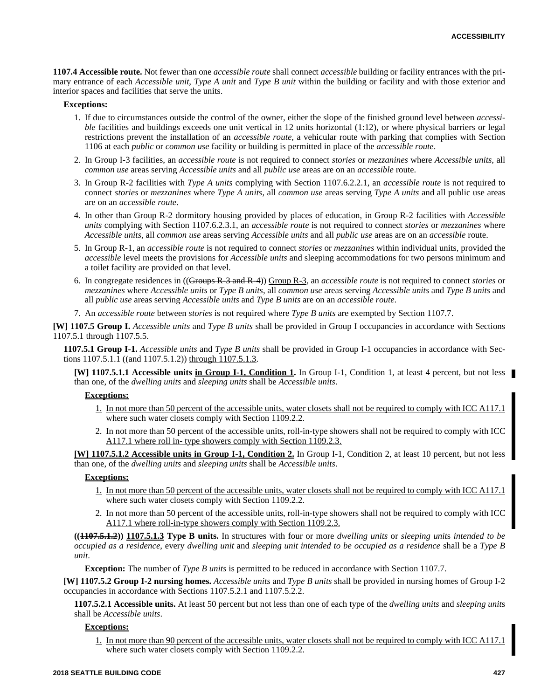**1107.4 Accessible route.** Not fewer than one *accessible route* shall connect *accessible* building or facility entrances with the primary entrance of each *Accessible unit*, *Type A unit* and *Type B unit* within the building or facility and with those exterior and interior spaces and facilities that serve the units.

#### **Exceptions:**

- 1. If due to circumstances outside the control of the owner, either the slope of the finished ground level between *accessible* facilities and buildings exceeds one unit vertical in 12 units horizontal (1:12), or where physical barriers or legal restrictions prevent the installation of an *accessible route*, a vehicular route with parking that complies with Section 1106 at each *public* or *common use* facility or building is permitted in place of the *accessible route*.
- 2. In Group I-3 facilities, an *accessible route* is not required to connect *stories* or *mezzanines* where *Accessible units*, all *common use* areas serving *Accessible units* and all *public use* areas are on an *accessible* route.
- 3. In Group R-2 facilities with *Type A units* complying with Section 1107.6.2.2.1, an *accessible route* is not required to connect *stories* or *mezzanines* where *Type A units*, all *common use* areas serving *Type A units* and all public use areas are on an *accessible route*.
- 4. In other than Group R-2 dormitory housing provided by places of education, in Group R-2 facilities with *Accessible units* complying with Section 1107.6.2.3.1, an *accessible route* is not required to connect *stories* or *mezzanines* where *Accessible units*, all *common use* areas serving *Accessible units* and all *public use* areas are on an *accessible* route.
- 5. In Group R-1, an *accessible route* is not required to connect *stories* or *mezzanines* within individual units, provided the *accessible* level meets the provisions for *Accessible units* and sleeping accommodations for two persons minimum and a toilet facility are provided on that level.
- 6. In congregate residences in ((Groups R-3 and R-4)) Group R-3, an *accessible route* is not required to connect *stories* or *mezzanines* where *Accessible units* or *Type B units*, all *common use* areas serving *Accessible units* and *Type B units* and all *public use* areas serving *Accessible units* and *Type B units* are on an *accessible route*.
- 7. An *accessible route* between *stories* is not required where *Type B units* are exempted by Section 1107.7.

**[W] 1107.5 Group I.** *Accessible units* and *Type B units* shall be provided in Group I occupancies in accordance with Sections 1107.5.1 through 1107.5.5.

**1107.5.1 Group I-1.** *Accessible units* and *Type B units* shall be provided in Group I-1 occupancies in accordance with Sections  $1107.5.1.1$  ((and  $1107.5.1.2$ )) through  $1107.5.1.3$ .

**[W] 1107.5.1.1 Accessible units in Group I-1, Condition 1.** In Group I-1, Condition 1, at least 4 percent, but not less than one, of the *dwelling units* and *sleeping units* shall be *Accessible units*.

## **Exceptions:**

- 1. In not more than 50 percent of the accessible units, water closets shall not be required to comply with ICC A117.1 where such water closets comply with Section 1109.2.2.
- 2. In not more than 50 percent of the accessible units, roll-in-type showers shall not be required to comply with ICC A117.1 where roll in- type showers comply with Section 1109.2.3.

**[W] 1107.5.1.2 Accessible units in Group I-1, Condition 2.** In Group I-1, Condition 2, at least 10 percent, but not less than one, of the *dwelling units* and *sleeping units* shall be *Accessible units*.

# **Exceptions:**

- 1. In not more than 50 percent of the accessible units, water closets shall not be required to comply with ICC A117.1 where such water closets comply with Section 1109.2.2.
- 2. In not more than 50 percent of the accessible units, roll-in-type showers shall not be required to comply with ICC A117.1 where roll-in-type showers comply with Section 1109.2.3.

**((1107.5.1.2)) 1107.5.1.3 Type B units.** In structures with four or more *dwelling units* or *sleeping unit*s *intended to be occupied as a residence*, every *dwelling unit* and *sleeping unit intended to be occupied as a residence* shall be a *Type B unit*.

**Exception:** The number of *Type B units* is permitted to be reduced in accordance with Section 1107.7.

**[W] 1107.5.2 Group I-2 nursing homes.** *Accessible units* and *Type B units* shall be provided in nursing homes of Group I-2 occupancies in accordance with Sections 1107.5.2.1 and 1107.5.2.2.

**1107.5.2.1 Accessible units.** At least 50 percent but not less than one of each type of the *dwelling units* and *sleeping unit*s shall be *Accessible units*.

# **Exceptions:**

1. In not more than 90 percent of the accessible units, water closets shall not be required to comply with IC where such water closets comply with Section 1109.2.2.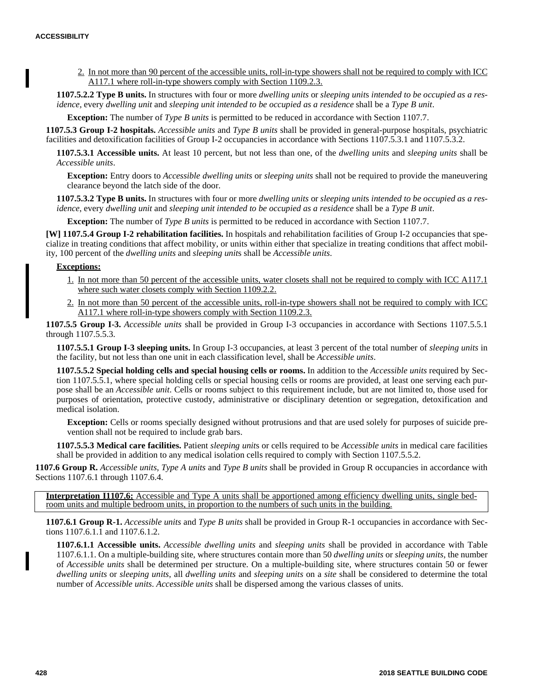2. In not more than 90 percent of the accessible units, roll-in-type showers shall not be required to comply with ICC A117.1 where roll-in-type showers comply with Section 1109.2.3.

**1107.5.2.2 Type B units.** In structures with four or more *dwelling units* or *sleeping unit*s *intended to be occupied as a residence,* every *dwelling unit* and *sleeping unit intended to be occupied as a residence* shall be a *Type B unit*.

**Exception:** The number of *Type B units* is permitted to be reduced in accordance with Section 1107.7.

**1107.5.3 Group I-2 hospitals.** *Accessible units* and *Type B units* shall be provided in general-purpose hospitals, psychiatric facilities and detoxification facilities of Group I-2 occupancies in accordance with Sections 1107.5.3.1 and 1107.5.3.2.

**1107.5.3.1 Accessible units.** At least 10 percent, but not less than one, of the *dwelling units* and *sleeping units* shall be *Accessible units*.

**Exception:** Entry doors to *Accessible dwelling units* or *sleeping units* shall not be required to provide the maneuvering clearance beyond the latch side of the door.

**1107.5.3.2 Type B units.** In structures with four or more *dwelling units* or *sleeping unit*s *intended to be occupied as a residence*, every *dwelling unit* and *sleeping unit intended to be occupied as a residence* shall be a *Type B unit*.

**Exception:** The number of *Type B units* is permitted to be reduced in accordance with Section 1107.7.

**[W] 1107.5.4 Group I-2 rehabilitation facilities.** In hospitals and rehabilitation facilities of Group I-2 occupancies that specialize in treating conditions that affect mobility, or units within either that specialize in treating conditions that affect mobility, 100 percent of the *dwelling units* and *sleeping unit*s shall be *Accessible units*.

# **Exceptions:**

- 1. In not more than 50 percent of the accessible units, water closets shall not be required to comply with ICC A117.1 where such water closets comply with Section 1109.2.2.
- 2. In not more than 50 percent of the accessible units, roll-in-type showers shall not be required to comply with ICC A117.1 where roll-in-type showers comply with Section 1109.2.3.

**1107.5.5 Group I-3.** *Accessible units* shall be provided in Group I-3 occupancies in accordance with Sections 1107.5.5.1 through 1107.5.5.3.

**1107.5.5.1 Group I-3 sleeping units.** In Group I-3 occupancies, at least 3 percent of the total number of *sleeping units* in the facility, but not less than one unit in each classification level, shall be *Accessible units*.

**1107.5.5.2 Special holding cells and special housing cells or rooms.** In addition to the *Accessible units* required by Section 1107.5.5.1, where special holding cells or special housing cells or rooms are provided, at least one serving each purpose shall be an *Accessible unit*. Cells or rooms subject to this requirement include, but are not limited to, those used for purposes of orientation, protective custody, administrative or disciplinary detention or segregation, detoxification and medical isolation.

**Exception:** Cells or rooms specially designed without protrusions and that are used solely for purposes of suicide prevention shall not be required to include grab bars.

**1107.5.5.3 Medical care facilities.** Patient *sleeping unit*s or cells required to be *Accessible units* in medical care facilities shall be provided in addition to any medical isolation cells required to comply with Section 1107.5.5.2.

**1107.6 Group R.** *Accessible units*, *Type A units* and *Type B units* shall be provided in Group R occupancies in accordance with Sections 1107.6.1 through 1107.6.4.

**Interpretation I1107.6:** Accessible and Type A units shall be apportioned among efficiency dwelling units, single bedroom units and multiple bedroom units, in proportion to the numbers of such units in the building.

**1107.6.1 Group R-1.** *Accessible units* and *Type B units* shall be provided in Group R-1 occupancies in accordance with Sections 1107.6.1.1 and 1107.6.1.2.

**1107.6.1.1 Accessible units.** *Accessible dwelling units* and *sleeping units* shall be provided in accordance with Table 1107.6.1.1. On a multiple-building site, where structures contain more than 50 *dwelling units* or *sleeping units*, the number of *Accessible units* shall be determined per structure. On a multiple-building site, where structures contain 50 or fewer *dwelling units* or *sleeping units*, all *dwelling units* and *sleeping units* on a *site* shall be considered to determine the total number of *Accessible units*. *Accessible units* shall be dispersed among the various classes of units.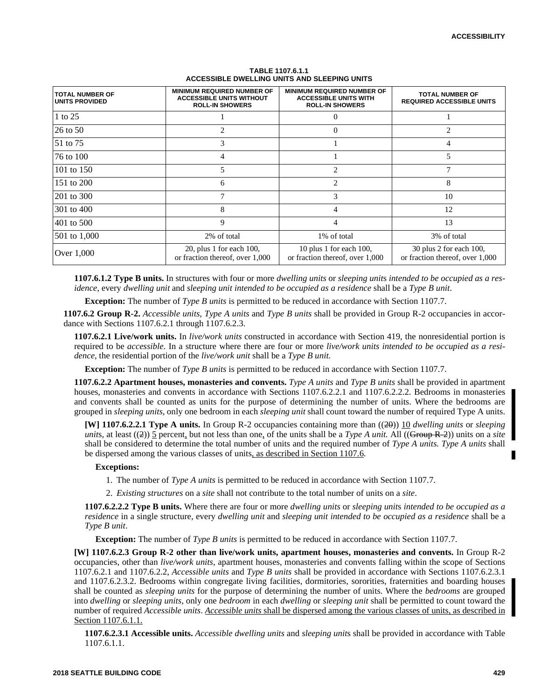| <b>ITOTAL NUMBER OF</b><br>UNITS PROVIDED | <b>MINIMUM REQUIRED NUMBER OF</b><br><b>ACCESSIBLE UNITS WITHOUT</b><br><b>ROLL-IN SHOWERS</b> | <b>MINIMUM REQUIRED NUMBER OF</b><br><b>ACCESSIBLE UNITS WITH</b><br><b>ROLL-IN SHOWERS</b> | <b>TOTAL NUMBER OF</b><br><b>REQUIRED ACCESSIBLE UNITS</b> |
|-------------------------------------------|------------------------------------------------------------------------------------------------|---------------------------------------------------------------------------------------------|------------------------------------------------------------|
| 1 to $25$                                 |                                                                                                | $\theta$                                                                                    |                                                            |
| $26$ to 50                                | 2                                                                                              | $\theta$                                                                                    | 2                                                          |
| 51 to 75                                  | 3                                                                                              |                                                                                             | 4                                                          |
| 76 to 100                                 | 4                                                                                              |                                                                                             | 5                                                          |
| 101 to 150                                | 5                                                                                              | $\overline{c}$                                                                              | 7                                                          |
| 151 to 200                                | 6                                                                                              | 2                                                                                           | 8                                                          |
| 201 to 300                                | 7                                                                                              | 3                                                                                           | 10                                                         |
| 301 to 400                                | 8                                                                                              | 4                                                                                           | 12                                                         |
| 401 to 500                                | 9                                                                                              | 4                                                                                           | 13                                                         |
| $501$ to $1,000$                          | 2% of total                                                                                    | 1% of total                                                                                 | 3% of total                                                |
| Over 1,000                                | $20$ , plus 1 for each 100,<br>or fraction thereof, over 1,000                                 | 10 plus 1 for each $100$ ,<br>or fraction thereof, over 1,000                               | 30 plus 2 for each 100,<br>or fraction thereof, over 1,000 |

#### **TABLE 1107.6.1.1 ACCESSIBLE DWELLING UNITS AND SLEEPING UNITS**

**1107.6.1.2 Type B units.** In structures with four or more *dwelling units* or *sleeping unit*s *intended to be occupied as a residence*, every *dwelling unit* and *sleeping unit intended to be occupied as a residence* shall be a *Type B unit*.

**Exception:** The number of *Type B units* is permitted to be reduced in accordance with Section 1107.7.

**1107.6.2 Group R-2.** *Accessible units*, *Type A units* and *Type B units* shall be provided in Group R-2 occupancies in accordance with Sections 1107.6.2.1 through 1107.6.2.3.

**1107.6.2.1 Live/work units.** In *live/work units* constructed in accordance with Section 419, the nonresidential portion is required to be *accessible*. In a structure where there are four or more *live/work units intended to be occupied as a residence*, the residential portion of the *live/work unit* shall be a *Type B unit.*

**Exception:** The number of *Type B units* is permitted to be reduced in accordance with Section 1107.7.

**1107.6.2.2 Apartment houses, monasteries and convents.** *Type A units* and *Type B units* shall be provided in apartment houses, monasteries and convents in accordance with Sections 1107.6.2.2.1 and 1107.6.2.2.2. Bedrooms in monasteries and convents shall be counted as units for the purpose of determining the number of units. Where the bedrooms are grouped in *sleeping units*, only one bedroom in each *sleeping unit* shall count toward the number of required Type A units.

**[W] 1107.6.2.2.1 Type A units.** In Group R-2 occupancies containing more than ((20)) 10 *dwelling units* or *sleeping units*, at least ((2)) 5 percent, but not less than one, of the units shall be a *Type A unit*. All ((Group R-2)) units on a *site* shall be considered to determine the total number of units and the required number of *Type A units. Type A units* shall be dispersed among the various classes of units, as described in Section 1107.6.

## **Exceptions:**

- 1. The number of *Type A units* is permitted to be reduced in accordance with Section 1107.7.
- 2. *Existing structures* on a *site* shall not contribute to the total number of units on a *site*.

**1107.6.2.2.2 Type B units.** Where there are four or more *dwelling units* or *sleeping unit*s *intended to be occupied as a residence* in a single structure, every *dwelling unit* and *sleeping unit intended to be occupied as a residence* shall be a *Type B unit*.

**Exception:** The number of *Type B units* is permitted to be reduced in accordance with Section 1107.7.

**[W] 1107.6.2.3 Group R-2 other than live/work units, apartment houses, monasteries and convents.** In Group R-2 occupancies, other than *live/work units*, apartment houses, monasteries and convents falling within the scope of Sections 1107.6.2.1 and 1107.6.2.2, *Accessible units* and *Type B units* shall be provided in accordance with Sections 1107.6.2.3.1 and 1107.6.2.3.2. Bedrooms within congregate living facilities, dormitories, sororities, fraternities and boarding houses shall be counted as *sleeping units* for the purpose of determining the number of units. Where the *bedrooms* are grouped into *dwelling* or *sleeping units*, only one *bedroom* in each *dwelling* or *sleeping unit* shall be permitted to count toward the number of required *Accessible units*. *Accessible units* shall be dispersed among the various classes of units, as described in Section 1107.6.1.1.

**1107.6.2.3.1 Accessible units.** *Accessible dwelling units* and *sleeping unit*s shall be provided in accordance with Table 1107.6.1.1.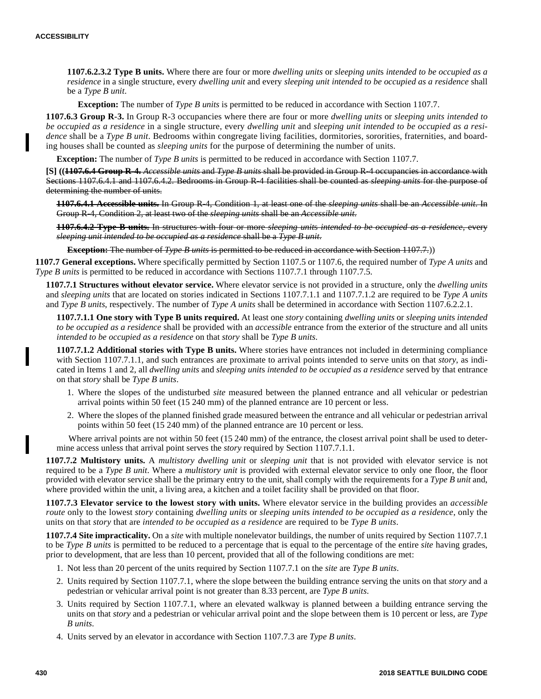**1107.6.2.3.2 Type B units.** Where there are four or more *dwelling units* or *sleeping unit*s *intended to be occupied as a residence* in a single structure, every *dwelling unit* and every *sleeping unit intended to be occupied as a residence* shall be a *Type B unit*.

**Exception:** The number of *Type B units* is permitted to be reduced in accordance with Section 1107.7.

**1107.6.3 Group R-3.** In Group R-3 occupancies where there are four or more *dwelling units* or *sleeping units intended to be occupied as a residence* in a single structure, every *dwelling unit* and *sleeping unit intended to be occupied as a residence* shall be a *Type B unit*. Bedrooms within congregate living facilities, dormitories, sororities, fraternities, and boarding houses shall be counted as *sleeping units* for the purpose of determining the number of units.

**Exception:** The number of *Type B units* is permitted to be reduced in accordance with Section 1107.7.

**[S] ((1107.6.4 Group R-4.** *Accessible units* and *Type B units* shall be provided in Group R-4 occupancies in accordance with Sections 1107.6.4.1 and 1107.6.4.2. Bedrooms in Group R-4 facilities shall be counted as *sleeping units* for the purpose of determining the number of units.

**1107.6.4.1 Accessible units.** In Group R-4, Condition 1, at least one of the *sleeping units* shall be an *Accessible unit*. In Group R-4, Condition 2, at least two of the *sleeping units* shall be an *Accessible unit*.

**1107.6.4.2 Type B units.** In structures with four or more *sleeping unit*s *intended to be occupied as a residence*, every *sleeping unit intended to be occupied as a residence* shall be a *Type B unit*.

**Exception:** The number of *Type B units* is permitted to be reduced in accordance with Section 1107.7.)

**1107.7 General exceptions.** Where specifically permitted by Section 1107.5 or 1107.6, the required number of *Type A units* and *Type B units* is permitted to be reduced in accordance with Sections 1107.7.1 through 1107.7.5.

**1107.7.1 Structures without elevator service.** Where elevator service is not provided in a structure, only the *dwelling units* and *sleeping units* that are located on stories indicated in Sections 1107.7.1.1 and 1107.7.1.2 are required to be *Type A units* and *Type B units*, respectively. The number of *Type A units* shall be determined in accordance with Section 1107.6.2.2.1.

**1107.7.1.1 One story with Type B units required.** At least one *story* containing *dwelling units* or *sleeping unit*s *intended to be occupied as a residence* shall be provided with an *accessible* entrance from the exterior of the structure and all units *intended to be occupied as a residence* on that *story* shall be *Type B units*.

**1107.7.1.2 Additional stories with Type B units.** Where stories have entrances not included in determining compliance with Section 1107.7.1.1, and such entrances are proximate to arrival points intended to serve units on that *story*, as indicated in Items 1 and 2, all *dwelling units* and *sleeping unit*s *intended to be occupied as a residence* served by that entrance on that *story* shall be *Type B units*.

- 1. Where the slopes of the undisturbed *site* measured between the planned entrance and all vehicular or pedestrian arrival points within 50 feet (15 240 mm) of the planned entrance are 10 percent or less.
- 2. Where the slopes of the planned finished grade measured between the entrance and all vehicular or pedestrian arrival points within 50 feet (15 240 mm) of the planned entrance are 10 percent or less.

Where arrival points are not within 50 feet (15 240 mm) of the entrance, the closest arrival point shall be used to determine access unless that arrival point serves the *story* required by Section 1107.7.1.1.

**1107.7.2 Multistory units.** A *multistory dwelling unit* or *sleeping unit* that is not provided with elevator service is not required to be a *Type B unit*. Where a *multistory unit* is provided with external elevator service to only one floor, the floor provided with elevator service shall be the primary entry to the unit, shall comply with the requirements for a *Type B unit* and, where provided within the unit, a living area, a kitchen and a toilet facility shall be provided on that floor.

**1107.7.3 Elevator service to the lowest story with units.** Where elevator service in the building provides an *accessible route* only to the lowest *story* containing *dwelling units* or *sleeping unit*s *intended to be occupied as a residence*, only the units on that *story* that are *intended to be occupied as a residence* are required to be *Type B units*.

**1107.7.4 Site impracticality.** On a *site* with multiple nonelevator buildings, the number of units required by Section 1107.7.1 to be *Type B units* is permitted to be reduced to a percentage that is equal to the percentage of the entire *site* having grades, prior to development, that are less than 10 percent, provided that all of the following conditions are met:

- 1. Not less than 20 percent of the units required by Section 1107.7.1 on the *site* are *Type B units*.
- 2. Units required by Section 1107.7.1, where the slope between the building entrance serving the units on that *story* and a pedestrian or vehicular arrival point is not greater than 8.33 percent, are *Type B units*.
- 3. Units required by Section 1107.7.1, where an elevated walkway is planned between a building entrance serving the units on that *story* and a pedestrian or vehicular arrival point and the slope between them is 10 percent or less, are *Type B units*.
- 4. Units served by an elevator in accordance with Section 1107.7.3 are *Type B units*.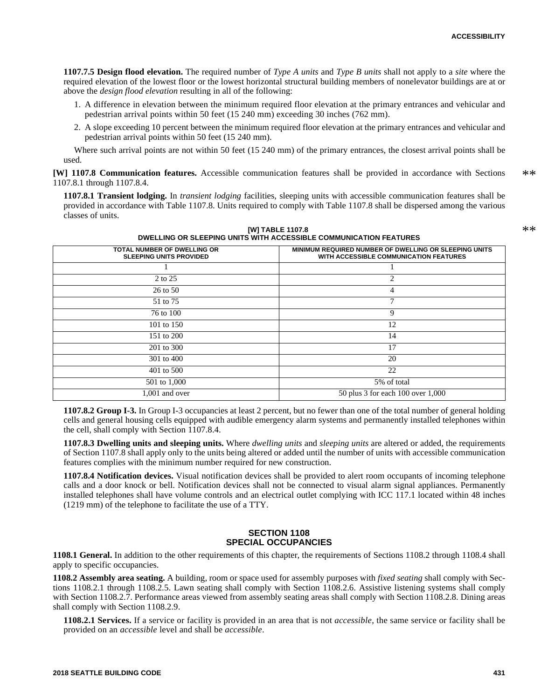\*\*

**1107.7.5 Design flood elevation.** The required number of *Type A units* and *Type B units* shall not apply to a *site* where the required elevation of the lowest floor or the lowest horizontal structural building members of nonelevator buildings are at or above the *design flood elevation* resulting in all of the following:

- 1. A difference in elevation between the minimum required floor elevation at the primary entrances and vehicular and pedestrian arrival points within 50 feet (15 240 mm) exceeding 30 inches (762 mm).
- 2. A slope exceeding 10 percent between the minimum required floor elevation at the primary entrances and vehicular and pedestrian arrival points within 50 feet (15 240 mm).

Where such arrival points are not within 50 feet (15 240 mm) of the primary entrances, the closest arrival points shall be used.

**[W] 1107.8 Communication features.** Accessible communication features shall be provided in accordance with Sections 1107.8.1 through 1107.8.4. \*\*

**1107.8.1 Transient lodging.** In *transient lodging* facilities, sleeping units with accessible communication features shall be provided in accordance with Table 1107.8. Units required to comply with Table 1107.8 shall be dispersed among the various classes of units.

> **[W] TABLE 1107.8 DWELLING OR SLEEPING UNITS WITH ACCESSIBLE COMMUNICATION FEATURES**

| <b>TOTAL NUMBER OF DWELLING OR</b><br><b>SLEEPING UNITS PROVIDED</b> | <u>DIVELENTO ON JEEEF ING UNITO WITH AGGEJJIDEE GOMMUNIGATION FEATUNEJ</u><br><b>MINIMUM REQUIRED NUMBER OF DWELLING OR SLEEPING UNITS</b><br>WITH ACCESSIBLE COMMUNICATION FEATURES |
|----------------------------------------------------------------------|--------------------------------------------------------------------------------------------------------------------------------------------------------------------------------------|
|                                                                      |                                                                                                                                                                                      |
| 2 to 25                                                              | 2                                                                                                                                                                                    |
| 26 to 50                                                             | 4                                                                                                                                                                                    |
| 51 to 75                                                             |                                                                                                                                                                                      |
| 76 to 100                                                            | 9                                                                                                                                                                                    |
| 101 to 150                                                           | 12                                                                                                                                                                                   |
| 151 to 200                                                           | 14                                                                                                                                                                                   |
| 201 to 300                                                           | 17                                                                                                                                                                                   |
| 301 to 400                                                           | 20                                                                                                                                                                                   |
| 401 to 500                                                           | 22                                                                                                                                                                                   |
| 501 to 1,000                                                         | 5% of total                                                                                                                                                                          |
| .001 and over                                                        | 50 plus 3 for each 100 over 1,000                                                                                                                                                    |

**1107.8.2 Group I-3.** In Group I-3 occupancies at least 2 percent, but no fewer than one of the total number of general holding cells and general housing cells equipped with audible emergency alarm systems and permanently installed telephones within the cell, shall comply with Section 1107.8.4.

**1107.8.3 Dwelling units and sleeping units.** Where *dwelling units* and *sleeping units* are altered or added, the requirements of Section 1107.8 shall apply only to the units being altered or added until the number of units with accessible communication features complies with the minimum number required for new construction.

**1107.8.4 Notification devices.** Visual notification devices shall be provided to alert room occupants of incoming telephone calls and a door knock or bell. Notification devices shall not be connected to visual alarm signal appliances. Permanently installed telephones shall have volume controls and an electrical outlet complying with ICC 117.1 located within 48 inches (1219 mm) of the telephone to facilitate the use of a TTY.

## **SECTION 1108 SPECIAL OCCUPANCIES**

**1108.1 General.** In addition to the other requirements of this chapter, the requirements of Sections 1108.2 through 1108.4 shall apply to specific occupancies.

**1108.2 Assembly area seating.** A building, room or space used for assembly purposes with *fixed seating* shall comply with Sections 1108.2.1 through 1108.2.5. Lawn seating shall comply with Section 1108.2.6. Assistive listening systems shall comply with Section 1108.2.7. Performance areas viewed from assembly seating areas shall comply with Section 1108.2.8. Dining areas shall comply with Section 1108.2.9.

**1108.2.1 Services.** If a service or facility is provided in an area that is not *accessible*, the same service or facility shall be provided on an *accessible* level and shall be *accessible*.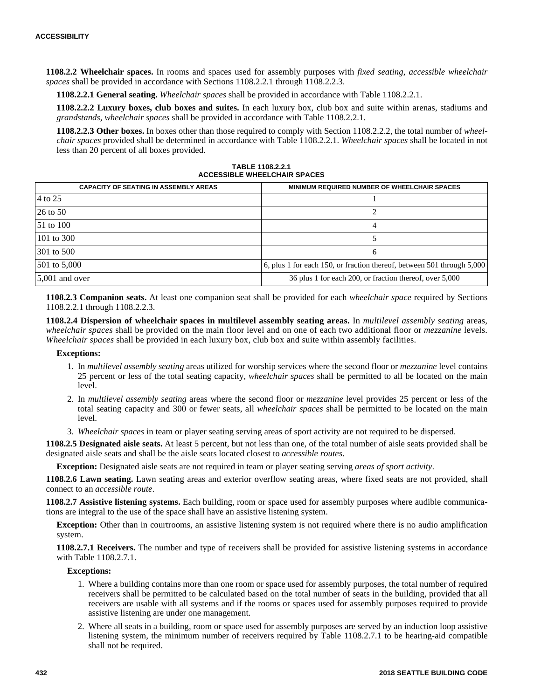**1108.2.2 Wheelchair spaces.** In rooms and spaces used for assembly purposes with *fixed seating*, *accessible wheelchair spaces* shall be provided in accordance with Sections 1108.2.2.1 through 1108.2.2.3.

**1108.2.2.1 General seating.** *Wheelchair spaces* shall be provided in accordance with Table 1108.2.2.1.

**1108.2.2.2 Luxury boxes, club boxes and suites.** In each luxury box, club box and suite within arenas, stadiums and *grandstands*, *wheelchair spaces* shall be provided in accordance with Table 1108.2.2.1.

**1108.2.2.3 Other boxes.** In boxes other than those required to comply with Section 1108.2.2.2, the total number of *wheelchair spaces* provided shall be determined in accordance with Table 1108.2.2.1. *Wheelchair spaces* shall be located in not less than 20 percent of all boxes provided.

| TABLE 1108.2.2.1                    |  |  |
|-------------------------------------|--|--|
| <b>ACCESSIBLE WHEELCHAIR SPACES</b> |  |  |

| <b>CAPACITY OF SEATING IN ASSEMBLY AREAS</b> | MINIMUM REQUIRED NUMBER OF WHEELCHAIR SPACES                           |
|----------------------------------------------|------------------------------------------------------------------------|
| 4 to 25                                      |                                                                        |
| 26 to 50                                     |                                                                        |
| $151 \text{ to } 100$                        |                                                                        |
| 101 to 300                                   |                                                                        |
| 301 to 500                                   | 6                                                                      |
| $501$ to $5,000$                             | 6, plus 1 for each 150, or fraction thereof, between 501 through 5,000 |
| $\vert 5.001 \rangle$ and over               | 36 plus 1 for each 200, or fraction thereof, over 5,000                |

**1108.2.3 Companion seats.** At least one companion seat shall be provided for each *wheelchair space* required by Sections 1108.2.2.1 through 1108.2.2.3.

**1108.2.4 Dispersion of wheelchair spaces in multilevel assembly seating areas.** In *multilevel assembly seating* areas, *wheelchair spaces* shall be provided on the main floor level and on one of each two additional floor or *mezzanine* levels. *Wheelchair spaces* shall be provided in each luxury box, club box and suite within assembly facilities.

#### **Exceptions:**

- 1. In *multilevel assembly seating* areas utilized for worship services where the second floor or *mezzanine* level contains 25 percent or less of the total seating capacity, *wheelchair spaces* shall be permitted to all be located on the main level.
- 2. In *multilevel assembly seating* areas where the second floor or *mezzanine* level provides 25 percent or less of the total seating capacity and 300 or fewer seats, all *wheelchair spaces* shall be permitted to be located on the main level.
- 3. *Wheelchair spaces* in team or player seating serving areas of sport activity are not required to be dispersed.

**1108.2.5 Designated aisle seats.** At least 5 percent, but not less than one, of the total number of aisle seats provided shall be designated aisle seats and shall be the aisle seats located closest to *accessible routes*.

**Exception:** Designated aisle seats are not required in team or player seating serving *areas of sport activity*.

**1108.2.6 Lawn seating.** Lawn seating areas and exterior overflow seating areas, where fixed seats are not provided, shall connect to an *accessible route*.

**1108.2.7 Assistive listening systems.** Each building, room or space used for assembly purposes where audible communications are integral to the use of the space shall have an assistive listening system.

**Exception:** Other than in courtrooms, an assistive listening system is not required where there is no audio amplification system.

**1108.2.7.1 Receivers.** The number and type of receivers shall be provided for assistive listening systems in accordance with Table 1108.2.7.1.

#### **Exceptions:**

- 1. Where a building contains more than one room or space used for assembly purposes, the total number of required receivers shall be permitted to be calculated based on the total number of seats in the building, provided that all receivers are usable with all systems and if the rooms or spaces used for assembly purposes required to provide assistive listening are under one management.
- 2. Where all seats in a building, room or space used for assembly purposes are served by an induction loop assistive listening system, the minimum number of receivers required by Table 1108.2.7.1 to be hearing-aid compatible shall not be required.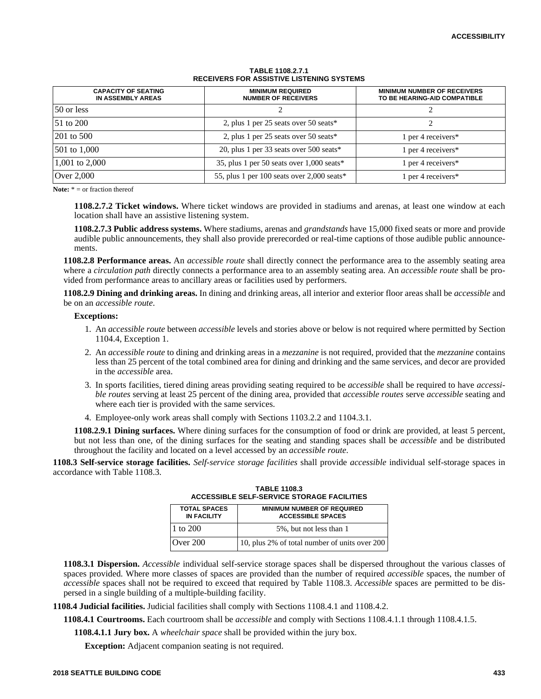| <b>CAPACITY OF SEATING</b><br>IN ASSEMBLY AREAS | <b>MINIMUM REQUIRED</b><br><b>NUMBER OF RECEIVERS</b> | <b>MINIMUM NUMBER OF RECEIVERS</b><br>TO BE HEARING-AID COMPATIBLE |
|-------------------------------------------------|-------------------------------------------------------|--------------------------------------------------------------------|
| 50 or less                                      |                                                       |                                                                    |
| $51 \text{ to } 200$                            | 2, plus 1 per 25 seats over $50$ seats*               |                                                                    |
| 201 to 500                                      | 2, plus 1 per 25 seats over 50 seats*                 | 1 per 4 receivers*                                                 |
| 501 to 1,000                                    | 20, plus 1 per 33 seats over 500 seats*               | 1 per 4 receivers $*$                                              |
| 1,001 to 2,000                                  | 35, plus 1 per 50 seats over 1,000 seats*             | 1 per 4 receivers $*$                                              |
| Over 2,000                                      | 55, plus 1 per 100 seats over 2,000 seats*            | 1 per 4 receivers*                                                 |

#### **TABLE 1108.2.7.1 RECEIVERS FOR ASSISTIVE LISTENING SYSTEMS**

**Note:** \* = or fraction thereof

**1108.2.7.2 Ticket windows.** Where ticket windows are provided in stadiums and arenas, at least one window at each location shall have an assistive listening system.

**1108.2.7.3 Public address systems.** Where stadiums, arenas and *grandstands* have 15,000 fixed seats or more and provide audible public announcements, they shall also provide prerecorded or real-time captions of those audible public announcements.

**1108.2.8 Performance areas.** An *accessible route* shall directly connect the performance area to the assembly seating area where a *circulation path* directly connects a performance area to an assembly seating area. An *accessible route* shall be provided from performance areas to ancillary areas or facilities used by performers.

**1108.2.9 Dining and drinking areas.** In dining and drinking areas, all interior and exterior floor areas shall be *accessible* and be on an *accessible route*.

#### **Exceptions:**

- 1. An *accessible route* between *accessible* levels and stories above or below is not required where permitted by Section 1104.4, Exception 1.
- 2. An *accessible route* to dining and drinking areas in a *mezzanine* is not required, provided that the *mezzanine* contains less than 25 percent of the total combined area for dining and drinking and the same services, and decor are provided in the *accessible* area.
- 3. In sports facilities, tiered dining areas providing seating required to be *accessible* shall be required to have *accessible routes* serving at least 25 percent of the dining area, provided that *accessible routes* serve *accessible* seating and where each tier is provided with the same services.
- 4. Employee-only work areas shall comply with Sections 1103.2.2 and 1104.3.1.

**1108.2.9.1 Dining surfaces.** Where dining surfaces for the consumption of food or drink are provided, at least 5 percent, but not less than one, of the dining surfaces for the seating and standing spaces shall be *accessible* and be distributed throughout the facility and located on a level accessed by an *accessible route*.

**1108.3 Self-service storage facilities.** *Self-service storage facilities* shall provide *accessible* individual self-storage spaces in accordance with Table 1108.3.

| AUGLOOIDLE OELI FOEKVIGE OTOKAGE I AGIETILO                                                                |                                               |  |
|------------------------------------------------------------------------------------------------------------|-----------------------------------------------|--|
| <b>TOTAL SPACES</b><br><b>MINIMUM NUMBER OF REQUIRED</b><br><b>IN FACILITY</b><br><b>ACCESSIBLE SPACES</b> |                                               |  |
| 1 to 200                                                                                                   | 5%, but not less than 1                       |  |
| Over $200$                                                                                                 | 10, plus 2% of total number of units over 200 |  |

**TABLE 1108.3 ACCESSIBLE SELF-SERVICE STORAGE FACILITIES**

**1108.3.1 Dispersion.** *Accessible* individual self-service storage spaces shall be dispersed throughout the various classes of spaces provided. Where more classes of spaces are provided than the number of required *accessible* spaces, the number of *accessible* spaces shall not be required to exceed that required by Table 1108.3. *Accessible* spaces are permitted to be dispersed in a single building of a multiple-building facility.

**1108.4 Judicial facilities.** Judicial facilities shall comply with Sections 1108.4.1 and 1108.4.2.

**1108.4.1 Courtrooms.** Each courtroom shall be *accessible* and comply with Sections 1108.4.1.1 through 1108.4.1.5.

**1108.4.1.1 Jury box.** A *wheelchair space* shall be provided within the jury box.

**Exception:** Adjacent companion seating is not required.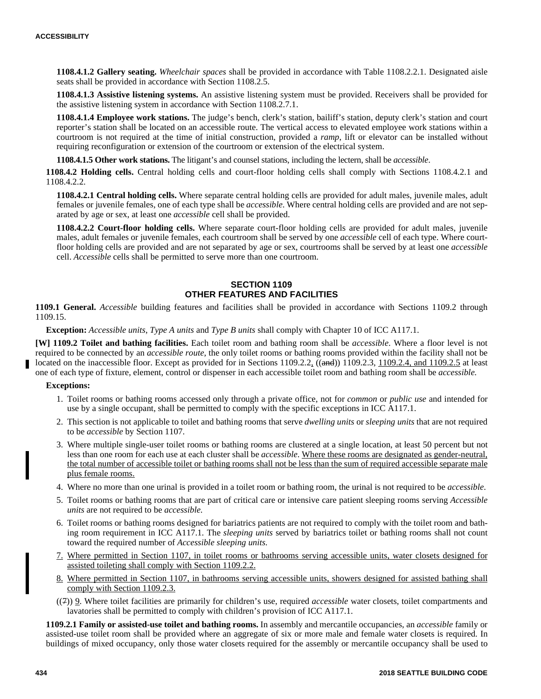**1108.4.1.2 Gallery seating.** *Wheelchair spaces* shall be provided in accordance with Table 1108.2.2.1. Designated aisle seats shall be provided in accordance with Section 1108.2.5.

**1108.4.1.3 Assistive listening systems.** An assistive listening system must be provided. Receivers shall be provided for the assistive listening system in accordance with Section 1108.2.7.1.

**1108.4.1.4 Employee work stations.** The judge's bench, clerk's station, bailiff's station, deputy clerk's station and court reporter's station shall be located on an accessible route. The vertical access to elevated employee work stations within a courtroom is not required at the time of initial construction, provided a *ramp*, lift or elevator can be installed without requiring reconfiguration or extension of the courtroom or extension of the electrical system.

**1108.4.1.5 Other work stations.** The litigant's and counsel stations, including the lectern, shall be *accessible*.

**1108.4.2 Holding cells.** Central holding cells and court-floor holding cells shall comply with Sections 1108.4.2.1 and 1108.4.2.2.

**1108.4.2.1 Central holding cells.** Where separate central holding cells are provided for adult males, juvenile males, adult females or juvenile females, one of each type shall be *accessible*. Where central holding cells are provided and are not separated by age or sex, at least one *accessible* cell shall be provided.

**1108.4.2.2 Court-floor holding cells.** Where separate court-floor holding cells are provided for adult males, juvenile males, adult females or juvenile females, each courtroom shall be served by one *accessible* cell of each type. Where courtfloor holding cells are provided and are not separated by age or sex, courtrooms shall be served by at least one *accessible* cell. *Accessible* cells shall be permitted to serve more than one courtroom.

# **SECTION 1109 OTHER FEATURES AND FACILITIES**

**1109.1 General.** *Accessible* building features and facilities shall be provided in accordance with Sections 1109.2 through 1109.15.

**Exception:** *Accessible units*, *Type A units* and *Type B units* shall comply with Chapter 10 of ICC A117.1.

**[W] 1109.2 Toilet and bathing facilities.** Each toilet room and bathing room shall be *accessible*. Where a floor level is not required to be connected by an *accessible route,* the only toilet rooms or bathing rooms provided within the facility shall not be located on the inaccessible floor. Except as provided for in Sections  $1109.2.2$ ,  $((\text{and})) 1109.2.3, 1109.2.4, \text{and } 1109.2.5$  at least one of each type of fixture, element, control or dispenser in each accessible toilet room and bathing room shall be *accessible.*

## **Exceptions:**

- 1. Toilet rooms or bathing rooms accessed only through a private office, not for *common* or *public use* and intended for use by a single occupant, shall be permitted to comply with the specific exceptions in ICC A117.1.
- 2. This section is not applicable to toilet and bathing rooms that serve *dwelling units* or *sleeping units* that are not required to be *accessible* by Section 1107.
- 3. Where multiple single-user toilet rooms or bathing rooms are clustered at a single location, at least 50 percent but not less than one room for each use at each cluster shall be *accessible*. Where these rooms are designated as gender-neutral, the total number of accessible toilet or bathing rooms shall not be less than the sum of required accessible separate male plus female rooms.
- 4. Where no more than one urinal is provided in a toilet room or bathing room, the urinal is not required to be *accessible*.
- 5. Toilet rooms or bathing rooms that are part of critical care or intensive care patient sleeping rooms serving *Accessible units* are not required to be *accessible*.
- 6. Toilet rooms or bathing rooms designed for bariatrics patients are not required to comply with the toilet room and bathing room requirement in ICC A117.1. The *sleeping units* served by bariatrics toilet or bathing rooms shall not count toward the required number of *Accessible sleeping units.*
- 7. Where permitted in Section 1107, in toilet rooms or bathrooms serving accessible units, water closets designed for assisted toileting shall comply with Section 1109.2.2.
- 8. Where permitted in Section 1107, in bathrooms serving accessible units, showers designed for assisted bathing shall comply with Section 1109.2.3.
- ((7)) 9. Where toilet facilities are primarily for children's use, required *accessible* water closets, toilet compartments and lavatories shall be permitted to comply with children's provision of ICC A117.1.

**1109.2.1 Family or assisted-use toilet and bathing rooms.** In assembly and mercantile occupancies, an *accessible* family or assisted-use toilet room shall be provided where an aggregate of six or more male and female water closets is required. In buildings of mixed occupancy, only those water closets required for the assembly or mercantile occupancy shall be used to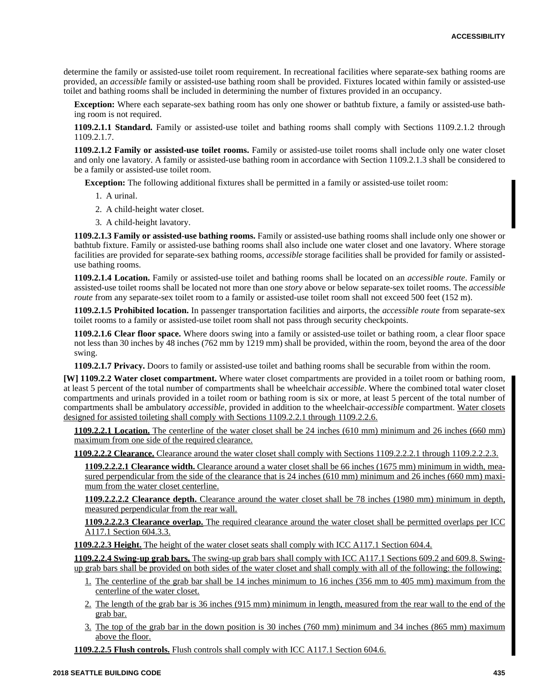determine the family or assisted-use toilet room requirement. In recreational facilities where separate-sex bathing rooms are provided, an *accessible* family or assisted-use bathing room shall be provided. Fixtures located within family or assisted-use toilet and bathing rooms shall be included in determining the number of fixtures provided in an occupancy.

**Exception:** Where each separate-sex bathing room has only one shower or bathtub fixture, a family or assisted-use bathing room is not required.

**1109.2.1.1 Standard.** Family or assisted-use toilet and bathing rooms shall comply with Sections 1109.2.1.2 through 1109.2.1.7.

**1109.2.1.2 Family or assisted-use toilet rooms.** Family or assisted-use toilet rooms shall include only one water closet and only one lavatory. A family or assisted-use bathing room in accordance with Section 1109.2.1.3 shall be considered to be a family or assisted-use toilet room.

**Exception:** The following additional fixtures shall be permitted in a family or assisted-use toilet room:

- 1. A urinal.
- 2. A child-height water closet.
- 3. A child-height lavatory.

**1109.2.1.3 Family or assisted-use bathing rooms.** Family or assisted-use bathing rooms shall include only one shower or bathtub fixture. Family or assisted-use bathing rooms shall also include one water closet and one lavatory. Where storage facilities are provided for separate-sex bathing rooms, *accessible* storage facilities shall be provided for family or assisteduse bathing rooms.

**1109.2.1.4 Location.** Family or assisted-use toilet and bathing rooms shall be located on an *accessible route*. Family or assisted-use toilet rooms shall be located not more than one *story* above or below separate-sex toilet rooms. The *accessible route* from any separate-sex toilet room to a family or assisted-use toilet room shall not exceed 500 feet (152 m).

**1109.2.1.5 Prohibited location.** In passenger transportation facilities and airports, the *accessible route* from separate-sex toilet rooms to a family or assisted-use toilet room shall not pass through security checkpoints.

**1109.2.1.6 Clear floor space.** Where doors swing into a family or assisted-use toilet or bathing room, a clear floor space not less than 30 inches by 48 inches (762 mm by 1219 mm) shall be provided, within the room, beyond the area of the door swing.

**1109.2.1.7 Privacy.** Doors to family or assisted-use toilet and bathing rooms shall be securable from within the room.

**[W] 1109.2.2 Water closet compartment.** Where water closet compartments are provided in a toilet room or bathing room, at least 5 percent of the total number of compartments shall be wheelchair *accessible*. Where the combined total water closet compartments and urinals provided in a toilet room or bathing room is six or more, at least 5 percent of the total number of compartments shall be ambulatory *accessible*, provided in addition to the wheelchair-*accessible* compartment. Water closets designed for assisted toileting shall comply with Sections 1109.2.2.1 through 1109.2.2.6.

**1109.2.2.1 Location.** The centerline of the water closet shall be 24 inches (610 mm) minimum and 26 inches (660 mm) maximum from one side of the required clearance.

**1109.2.2.2 Clearance.** Clearance around the water closet shall comply with Sections 1109.2.2.2.1 through 1109.2.2.2.3.

**1109.2.2.2.1 Clearance width.** Clearance around a water closet shall be 66 inches (1675 mm) minimum in width, measured perpendicular from the side of the clearance that is 24 inches (610 mm) minimum and 26 inches (660 mm) maximum from the water closet centerline.

**1109.2.2.2.2 Clearance depth.** Clearance around the water closet shall be 78 inches (1980 mm) minimum in depth, measured perpendicular from the rear wall.

**1109.2.2.2.3 Clearance overlap.** The required clearance around the water closet shall be permitted overlaps per ICC A117.1 Section 604.3.3.

**1109.2.2.3 Height.** The height of the water closet seats shall comply with ICC A117.1 Section 604.4.

**1109.2.2.4 Swing-up grab bars.** The swing-up grab bars shall comply with ICC A117.1 Sections 609.2 and 609.8. Swingup grab bars shall be provided on both sides of the water closet and shall comply with all of the following: the following:

- 1. The centerline of the grab bar shall be 14 inches minimum to 16 inches (356 mm to 405 mm) maximum from the centerline of the water closet.
- 2. The length of the grab bar is 36 inches (915 mm) minimum in length, measured from the rear wall to the end of the grab bar.
- 3. The top of the grab bar in the down position is 30 inches (760 mm) minimum and 34 inches (865 mm) maximum above the floor.

**1109.2.2.5 Flush controls.** Flush controls shall comply with ICC A117.1 Section 604.6.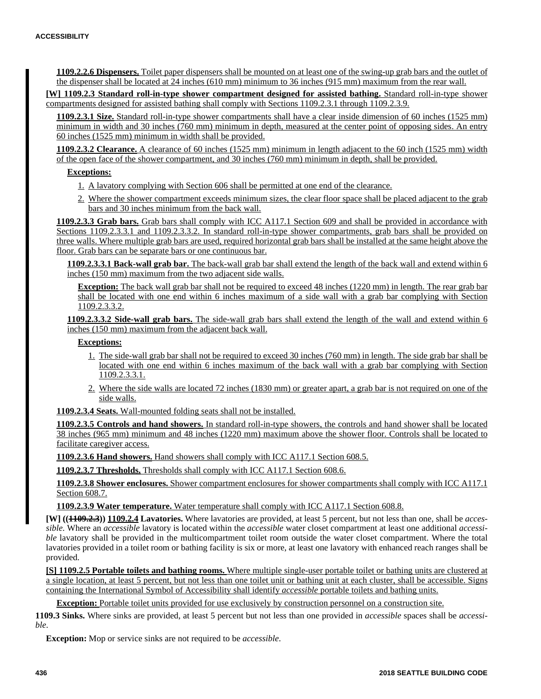**1109.2.2.6 Dispensers.** Toilet paper dispensers shall be mounted on at least one of the swing-up grab bars and the outlet of the dispenser shall be located at 24 inches (610 mm) minimum to 36 inches (915 mm) maximum from the rear wall.

**[W] 1109.2.3 Standard roll-in-type shower compartment designed for assisted bathing.** Standard roll-in-type shower compartments designed for assisted bathing shall comply with Sections 1109.2.3.1 through 1109.2.3.9.

**1109.2.3.1 Size.** Standard roll-in-type shower compartments shall have a clear inside dimension of 60 inches (1525 mm) minimum in width and 30 inches (760 mm) minimum in depth, measured at the center point of opposing sides. An entry 60 inches (1525 mm) minimum in width shall be provided.

**1109.2.3.2 Clearance.** A clearance of 60 inches (1525 mm) minimum in length adjacent to the 60 inch (1525 mm) width of the open face of the shower compartment, and 30 inches (760 mm) minimum in depth, shall be provided.

# **Exceptions:**

- 1. A lavatory complying with Section 606 shall be permitted at one end of the clearance.
- 2. Where the shower compartment exceeds minimum sizes, the clear floor space shall be placed adjacent to the grab bars and 30 inches minimum from the back wall.

**1109.2.3.3 Grab bars.** Grab bars shall comply with ICC A117.1 Section 609 and shall be provided in accordance with Sections 1109.2.3.3.1 and 1109.2.3.3.2. In standard roll-in-type shower compartments, grab bars shall be provided on three walls. Where multiple grab bars are used, required horizontal grab bars shall be installed at the same height above the floor. Grab bars can be separate bars or one continuous bar.

**1109.2.3.3.1 Back-wall grab bar.** The back-wall grab bar shall extend the length of the back wall and extend within 6 inches (150 mm) maximum from the two adjacent side walls.

**Exception:** The back wall grab bar shall not be required to exceed 48 inches (1220 mm) in length. The rear grab bar shall be located with one end within 6 inches maximum of a side wall with a grab bar complying with Section 1109.2.3.3.2.

**1109.2.3.3.2 Side-wall grab bars.** The side-wall grab bars shall extend the length of the wall and extend within 6 inches (150 mm) maximum from the adjacent back wall.

# **Exceptions:**

- 1. The side-wall grab bar shall not be required to exceed 30 inches (760 mm) in length. The side grab bar shall be located with one end within 6 inches maximum of the back wall with a grab bar complying with Section 1109.2.3.3.1.
- 2. Where the side walls are located 72 inches (1830 mm) or greater apart, a grab bar is not required on one of the side walls.

**1109.2.3.4 Seats.** Wall-mounted folding seats shall not be installed.

**1109.2.3.5 Controls and hand showers.** In standard roll-in-type showers, the controls and hand shower shall be located 38 inches (965 mm) minimum and 48 inches (1220 mm) maximum above the shower floor. Controls shall be located to facilitate caregiver access.

**1109.2.3.6 Hand showers.** Hand showers shall comply with ICC A117.1 Section 608.5.

**1109.2.3.7 Thresholds.** Thresholds shall comply with ICC A117.1 Section 608.6.

**1109.2.3.8 Shower enclosures.** Shower compartment enclosures for shower compartments shall comply with ICC A117.1 Section 608.7.

**1109.2.3.9 Water temperature.** Water temperature shall comply with ICC A117.1 Section 608.8.

**[W] ((1109.2.3)) 1109.2.4 Lavatories.** Where lavatories are provided, at least 5 percent, but not less than one, shall be *accessible.* Where an *accessible* lavatory is located within the *accessible* water closet compartment at least one additional *accessible* lavatory shall be provided in the multicompartment toilet room outside the water closet compartment. Where the total lavatories provided in a toilet room or bathing facility is six or more, at least one lavatory with enhanced reach ranges shall be provided.

**[S] 1109.2.5 Portable toilets and bathing rooms.** Where multiple single-user portable toilet or bathing units are clustered at a single location, at least 5 percent, but not less than one toilet unit or bathing unit at each cluster, shall be accessible. Signs containing the International Symbol of Accessibility shall identify *accessible* portable toilets and bathing units.

**Exception:** Portable toilet units provided for use exclusively by construction personnel on a construction site.

**1109.3 Sinks.** Where sinks are provided, at least 5 percent but not less than one provided in *accessible* spaces shall be *accessible*.

**Exception:** Mop or service sinks are not required to be *accessible*.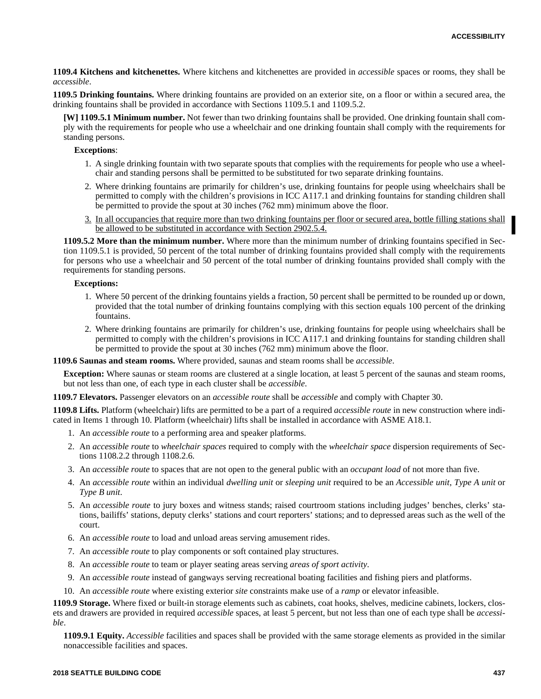**1109.4 Kitchens and kitchenettes.** Where kitchens and kitchenettes are provided in *accessible* spaces or rooms, they shall be *accessible*.

**1109.5 Drinking fountains.** Where drinking fountains are provided on an exterior site, on a floor or within a secured area, the drinking fountains shall be provided in accordance with Sections 1109.5.1 and 1109.5.2.

**[W] 1109.5.1 Minimum number.** Not fewer than two drinking fountains shall be provided. One drinking fountain shall comply with the requirements for people who use a wheelchair and one drinking fountain shall comply with the requirements for standing persons.

# **Exceptions**:

- 1. A single drinking fountain with two separate spouts that complies with the requirements for people who use a wheelchair and standing persons shall be permitted to be substituted for two separate drinking fountains.
- 2. Where drinking fountains are primarily for children's use, drinking fountains for people using wheelchairs shall be permitted to comply with the children's provisions in ICC A117.1 and drinking fountains for standing children shall be permitted to provide the spout at 30 inches (762 mm) minimum above the floor.
- 3. In all occupancies that require more than two drinking fountains per floor or secured area, bottle filling stations shall be allowed to be substituted in accordance with Section 2902.5.4.

**1109.5.2 More than the minimum number.** Where more than the minimum number of drinking fountains specified in Section 1109.5.1 is provided, 50 percent of the total number of drinking fountains provided shall comply with the requirements for persons who use a wheelchair and 50 percent of the total number of drinking fountains provided shall comply with the requirements for standing persons.

#### **Exceptions:**

- 1. Where 50 percent of the drinking fountains yields a fraction, 50 percent shall be permitted to be rounded up or down, provided that the total number of drinking fountains complying with this section equals 100 percent of the drinking fountains.
- 2. Where drinking fountains are primarily for children's use, drinking fountains for people using wheelchairs shall be permitted to comply with the children's provisions in ICC A117.1 and drinking fountains for standing children shall be permitted to provide the spout at 30 inches (762 mm) minimum above the floor.

**1109.6 Saunas and steam rooms.** Where provided, saunas and steam rooms shall be *accessible*.

**Exception:** Where saunas or steam rooms are clustered at a single location, at least 5 percent of the saunas and steam rooms, but not less than one, of each type in each cluster shall be *accessible*.

**1109.7 Elevators.** Passenger elevators on an *accessible route* shall be *accessible* and comply with Chapter 30.

**1109.8 Lifts.** Platform (wheelchair) lifts are permitted to be a part of a required *accessible route* in new construction where indicated in Items 1 through 10. Platform (wheelchair) lifts shall be installed in accordance with ASME A18.1.

- 1. An *accessible route* to a performing area and speaker platforms.
- 2. An *accessible route* to *wheelchair spaces* required to comply with the *wheelchair space* dispersion requirements of Sections 1108.2.2 through 1108.2.6.
- 3. An *accessible route* to spaces that are not open to the general public with an *occupant load* of not more than five.
- 4. An *accessible route* within an individual *dwelling unit* or *sleeping unit* required to be an *Accessible unit*, *Type A unit* or *Type B unit*.
- 5. An *accessible route* to jury boxes and witness stands; raised courtroom stations including judges' benches, clerks' stations, bailiffs' stations, deputy clerks' stations and court reporters' stations; and to depressed areas such as the well of the court.
- 6. An *accessible route* to load and unload areas serving amusement rides.
- 7. An *accessible route* to play components or soft contained play structures.
- 8. An *accessible route* to team or player seating areas serving *areas of sport activity*.
- 9. An *accessible route* instead of gangways serving recreational boating facilities and fishing piers and platforms.
- 10. An *accessible route* where existing exterior *site* constraints make use of a *ramp* or elevator infeasible.

**1109.9 Storage.** Where fixed or built-in storage elements such as cabinets, coat hooks, shelves, medicine cabinets, lockers, closets and drawers are provided in required *accessible* spaces, at least 5 percent, but not less than one of each type shall be *accessible*.

**1109.9.1 Equity.** *Accessible* facilities and spaces shall be provided with the same storage elements as provided in the similar nonaccessible facilities and spaces.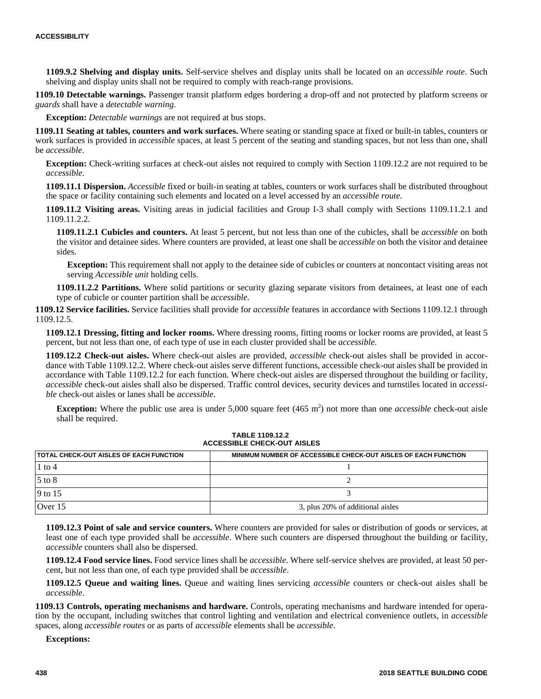**1109.9.2 Shelving and display units.** Self-service shelves and display units shall be located on an *accessible route*. Such shelving and display units shall not be required to comply with reach-range provisions.

**1109.10 Detectable warnings.** Passenger transit platform edges bordering a drop-off and not protected by platform screens or *guards* shall have a *detectable warning*.

**Exception:** *Detectable warnings* are not required at bus stops.

**1109.11 Seating at tables, counters and work surfaces.** Where seating or standing space at fixed or built-in tables, counters or work surfaces is provided in *accessible* spaces, at least 5 percent of the seating and standing spaces, but not less than one, shall be *accessible*.

**Exception:** Check-writing surfaces at check-out aisles not required to comply with Section 1109.12.2 are not required to be *accessible*.

**1109.11.1 Dispersion.** *Accessible* fixed or built-in seating at tables, counters or work surfaces shall be distributed throughout the space or facility containing such elements and located on a level accessed by an *accessible route*.

**1109.11.2 Visiting areas.** Visiting areas in judicial facilities and Group I-3 shall comply with Sections 1109.11.2.1 and 1109.11.2.2.

**1109.11.2.1 Cubicles and counters.** At least 5 percent, but not less than one of the cubicles, shall be *accessible* on both the visitor and detainee sides. Where counters are provided, at least one shall be *accessible* on both the visitor and detainee sides.

**Exception:** This requirement shall not apply to the detainee side of cubicles or counters at noncontact visiting areas not serving *Accessible unit* holding cells.

**1109.11.2.2 Partitions.** Where solid partitions or security glazing separate visitors from detainees, at least one of each type of cubicle or counter partition shall be *accessible*.

**1109.12 Service facilities.** Service facilities shall provide for *accessible* features in accordance with Sections 1109.12.1 through 1109.12.5.

**1109.12.1 Dressing, fitting and locker rooms.** Where dressing rooms, fitting rooms or locker rooms are provided, at least 5 percent, but not less than one, of each type of use in each cluster provided shall be *accessible*.

**1109.12.2 Check-out aisles.** Where check-out aisles are provided, *accessible* check-out aisles shall be provided in accordance with Table 1109.12.2. Where check-out aisles serve different functions, accessible check-out aisles shall be provided in accordance with Table 1109.12.2 for each function. Where check-out aisles are dispersed throughout the building or facility, *accessible* check-out aisles shall also be dispersed. Traffic control devices, security devices and turnstiles located in *accessible* check-out aisles or lanes shall be *accessible*.

**Exception:** Where the public use area is under  $5,000$  square feet  $(465 \text{ m}^2)$  not more than one *accessible* check-out aisle shall be required.

| <b>ITOTAL CHECK-OUT AISLES OF EACH FUNCTION</b> | MINIMUM NUMBER OF ACCESSIBLE CHECK-OUT AISLES OF EACH FUNCTION |
|-------------------------------------------------|----------------------------------------------------------------|
| $1$ to $4$                                      |                                                                |
| $5$ to $8$                                      |                                                                |
| 9 to 15                                         |                                                                |
| Over 15                                         | 3, plus 20% of additional aisles                               |

#### **TABLE 1109.12.2 ACCESSIBLE CHECK-OUT AISLES**

**1109.12.3 Point of sale and service counters.** Where counters are provided for sales or distribution of goods or services, at least one of each type provided shall be *accessible*. Where such counters are dispersed throughout the building or facility, *accessible* counters shall also be dispersed.

**1109.12.4 Food service lines.** Food service lines shall be *accessible*. Where self-service shelves are provided, at least 50 percent, but not less than one, of each type provided shall be *accessible*.

**1109.12.5 Queue and waiting lines.** Queue and waiting lines servicing *accessible* counters or check-out aisles shall be *accessible*.

**1109.13 Controls, operating mechanisms and hardware.** Controls, operating mechanisms and hardware intended for operation by the occupant, including switches that control lighting and ventilation and electrical convenience outlets, in *accessible* spaces, along *accessible routes* or as parts of *accessible* elements shall be *accessible*.

**Exceptions:**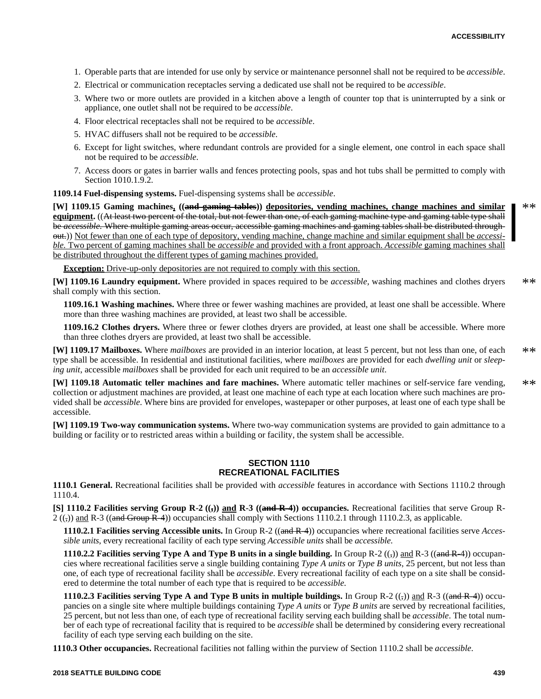- 1. Operable parts that are intended for use only by service or maintenance personnel shall not be required to be *accessible*.
- 2. Electrical or communication receptacles serving a dedicated use shall not be required to be *accessible*.
- 3. Where two or more outlets are provided in a kitchen above a length of counter top that is uninterrupted by a sink or appliance, one outlet shall not be required to be *accessible*.
- 4. Floor electrical receptacles shall not be required to be *accessible*.
- 5. HVAC diffusers shall not be required to be *accessible*.
- 6. Except for light switches, where redundant controls are provided for a single element, one control in each space shall not be required to be *accessible*.
- 7. Access doors or gates in barrier walls and fences protecting pools, spas and hot tubs shall be permitted to comply with Section 1010.1.9.2.

**1109.14 Fuel-dispensing systems.** Fuel-dispensing systems shall be *accessible*.

**[W] 1109.15 Gaming machines, ((and gaming tables)) depositories, vending machines, change machines and similar equipment.** ((At least two percent of the total, but not fewer than one, of each gaming machine type and gaming table type shall be *accessible.* Where multiple gaming areas occur, accessible gaming machines and gaming tables shall be distributed throughout.)) Not fewer than one of each type of depository, vending machine, change machine and similar equipment shall be *accessible.* Two percent of gaming machines shall be *accessible* and provided with a front approach. *Accessible* gaming machines shall be distributed throughout the different types of gaming machines provided.

**Exception:** Drive-up-only depositories are not required to comply with this section.

**[W] 1109.16 Laundry equipment.** Where provided in spaces required to be *accessible,* washing machines and clothes dryers shall comply with this section. \*\*

**1109.16.1 Washing machines.** Where three or fewer washing machines are provided, at least one shall be accessible. Where more than three washing machines are provided, at least two shall be accessible.

**1109.16.2 Clothes dryers.** Where three or fewer clothes dryers are provided, at least one shall be accessible. Where more than three clothes dryers are provided, at least two shall be accessible.

**[W] 1109.17 Mailboxes.** Where *mailboxes* are provided in an interior location, at least 5 percent, but not less than one, of each type shall be accessible. In residential and institutional facilities, where *mailboxes* are provided for each *dwelling unit* or *sleeping unit*, accessible *mailboxes* shall be provided for each unit required to be an *accessible unit*. \*\*

**[W] 1109.18 Automatic teller machines and fare machines.** Where automatic teller machines or self-service fare vending, collection or adjustment machines are provided, at least one machine of each type at each location where such machines are provided shall be *accessible*. Where bins are provided for envelopes, wastepaper or other purposes, at least one of each type shall be accessible. \*\*

**[W] 1109.19 Two-way communication systems.** Where two-way communication systems are provided to gain admittance to a building or facility or to restricted areas within a building or facility, the system shall be accessible.

# **SECTION 1110 RECREATIONAL FACILITIES**

**1110.1 General.** Recreational facilities shall be provided with *accessible* features in accordance with Sections 1110.2 through 1110.4.

**[S] 1110.2 Facilities serving Group R-2**  $((,))$  **and R-3**  $((\text{and } R-4))$  **occupancies.** Recreational facilities that serve Group R- $2\left(\frac{1}{2}\right)$  and R-3 ((and Group R-4)) occupancies shall comply with Sections 1110.2.1 through 1110.2.3, as applicable.

**1110.2.1 Facilities serving Accessible units.** In Group R-2 ((and R-4)) occupancies where recreational facilities serve *Accessible units*, every recreational facility of each type serving *Accessible units* shall be *accessible*.

**1110.2.2 Facilities serving Type A and Type B units in a single building.** In Group R-2  $((,))$  and R-3  $((and R-4))$  occupancies where recreational facilities serve a single building containing *Type A units* or *Type B units*, 25 percent, but not less than one, of each type of recreational facility shall be *accessible*. Every recreational facility of each type on a site shall be considered to determine the total number of each type that is required to be *accessible*.

**1110.2.3 Facilities serving Type A and Type B units in multiple buildings.** In Group R-2  $((\cdot))$  and R-3  $((\text{and } R-4))$  occupancies on a single site where multiple buildings containing *Type A units* or *Type B units* are served by recreational facilities, 25 percent, but not less than one, of each type of recreational facility serving each building shall be *accessible*. The total number of each type of recreational facility that is required to be *accessible* shall be determined by considering every recreational facility of each type serving each building on the site.

**1110.3 Other occupancies.** Recreational facilities not falling within the purview of Section 1110.2 shall be *accessible*.

\*\*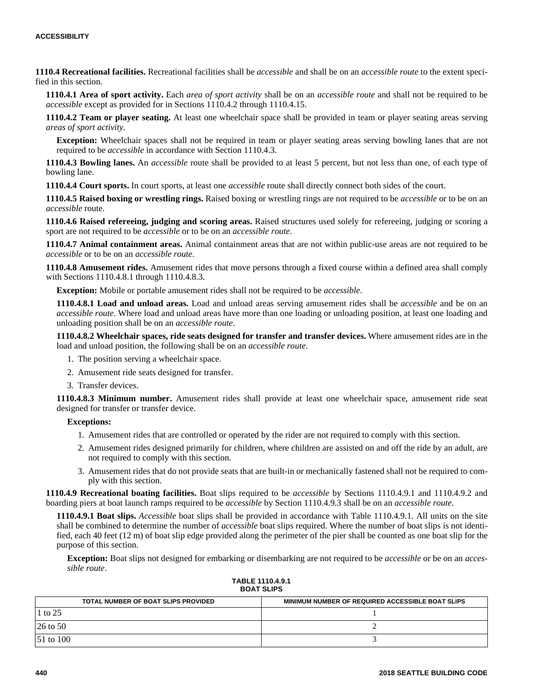**1110.4 Recreational facilities.** Recreational facilities shall be *accessible* and shall be on an *accessible route* to the extent specified in this section.

**1110.4.1 Area of sport activity.** Each *area of sport activity* shall be on an *accessible route* and shall not be required to be *accessible* except as provided for in Sections 1110.4.2 through 1110.4.15.

**1110.4.2 Team or player seating.** At least one wheelchair space shall be provided in team or player seating areas serving *areas of sport activity*.

**Exception:** Wheelchair spaces shall not be required in team or player seating areas serving bowling lanes that are not required to be *accessible* in accordance with Section 1110.4.3.

**1110.4.3 Bowling lanes.** An *accessible* route shall be provided to at least 5 percent, but not less than one, of each type of bowling lane.

**1110.4.4 Court sports.** In court sports, at least one *accessible* route shall directly connect both sides of the court.

**1110.4.5 Raised boxing or wrestling rings.** Raised boxing or wrestling rings are not required to be *accessible* or to be on an *accessible* route.

**1110.4.6 Raised refereeing, judging and scoring areas.** Raised structures used solely for refereeing, judging or scoring a sport are not required to be *accessible* or to be on an *accessible route*.

**1110.4.7 Animal containment areas.** Animal containment areas that are not within public-use areas are not required to be *accessible* or to be on an *accessible route*.

**1110.4.8 Amusement rides.** Amusement rides that move persons through a fixed course within a defined area shall comply with Sections 1110.4.8.1 through 1110.4.8.3.

**Exception:** Mobile or portable amusement rides shall not be required to be *accessible*.

**1110.4.8.1 Load and unload areas.** Load and unload areas serving amusement rides shall be *accessible* and be on an *accessible route*. Where load and unload areas have more than one loading or unloading position, at least one loading and unloading position shall be on an *accessible route*.

**1110.4.8.2 Wheelchair spaces, ride seats designed for transfer and transfer devices.** Where amusement rides are in the load and unload position, the following shall be on an *accessible route*.

- 1. The position serving a wheelchair space.
- 2. Amusement ride seats designed for transfer.
- 3. Transfer devices.

**1110.4.8.3 Minimum number.** Amusement rides shall provide at least one wheelchair space, amusement ride seat designed for transfer or transfer device.

#### **Exceptions:**

- 1. Amusement rides that are controlled or operated by the rider are not required to comply with this section.
- 2. Amusement rides designed primarily for children, where children are assisted on and off the ride by an adult, are not required to comply with this section.
- 3. Amusement rides that do not provide seats that are built-in or mechanically fastened shall not be required to comply with this section.

**1110.4.9 Recreational boating facilities.** Boat slips required to be *accessible* by Sections 1110.4.9.1 and 1110.4.9.2 and boarding piers at boat launch ramps required to be *accessible* by Section 1110.4.9.3 shall be on an *accessible route*.

**1110.4.9.1 Boat slips.** *Accessible* boat slips shall be provided in accordance with Table 1110.4.9.1. All units on the site shall be combined to determine the number of *accessible* boat slips required. Where the number of boat slips is not identified, each 40 feet (12 m) of boat slip edge provided along the perimeter of the pier shall be counted as one boat slip for the purpose of this section.

**Exception:** Boat slips not designed for embarking or disembarking are not required to be *accessible* or be on an *accessible route*.

| TABLE 1110.4.9.1  |  |
|-------------------|--|
| <b>BOAT SLIPS</b> |  |

| TOTAL NUMBER OF BOAT SLIPS PROVIDED   | MINIMUM NUMBER OF REQUIRED ACCESSIBLE BOAT SLIPS |
|---------------------------------------|--------------------------------------------------|
| 1 to 25                               |                                                  |
| $26$ to 50                            |                                                  |
| $\vert 51 \vert$ to $\vert 100 \vert$ |                                                  |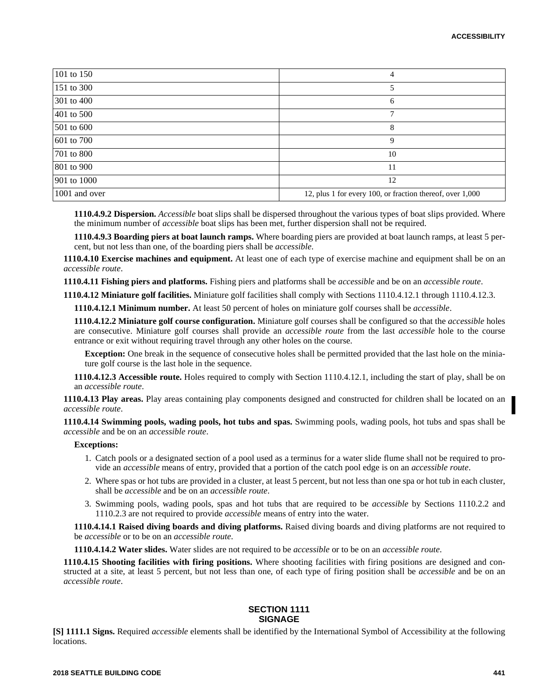| 101 to 150    | 4                                                         |
|---------------|-----------------------------------------------------------|
| 151 to 300    |                                                           |
| 301 to 400    | 6                                                         |
| 401 to 500    | 7                                                         |
| 501 to 600    | 8                                                         |
| 601 to 700    | 9                                                         |
| 701 to 800    | 10                                                        |
| 801 to 900    | 11                                                        |
| 901 to 1000   | 12                                                        |
| 1001 and over | 12, plus 1 for every 100, or fraction thereof, over 1,000 |

**1110.4.9.2 Dispersion.** *Accessible* boat slips shall be dispersed throughout the various types of boat slips provided. Where the minimum number of *accessible* boat slips has been met, further dispersion shall not be required.

**1110.4.9.3 Boarding piers at boat launch ramps.** Where boarding piers are provided at boat launch ramps, at least 5 percent, but not less than one, of the boarding piers shall be *accessible*.

**1110.4.10 Exercise machines and equipment.** At least one of each type of exercise machine and equipment shall be on an *accessible route*.

**1110.4.11 Fishing piers and platforms.** Fishing piers and platforms shall be *accessible* and be on an *accessible route*.

**1110.4.12 Miniature golf facilities.** Miniature golf facilities shall comply with Sections 1110.4.12.1 through 1110.4.12.3.

**1110.4.12.1 Minimum number.** At least 50 percent of holes on miniature golf courses shall be *accessible*.

**1110.4.12.2 Miniature golf course configuration.** Miniature golf courses shall be configured so that the *accessible* holes are consecutive. Miniature golf courses shall provide an *accessible route* from the last *accessible* hole to the course entrance or exit without requiring travel through any other holes on the course.

**Exception:** One break in the sequence of consecutive holes shall be permitted provided that the last hole on the miniature golf course is the last hole in the sequence.

**1110.4.12.3 Accessible route.** Holes required to comply with Section 1110.4.12.1, including the start of play, shall be on an *accessible route*.

**1110.4.13 Play areas.** Play areas containing play components designed and constructed for children shall be located on an *accessible route*.

**1110.4.14 Swimming pools, wading pools, hot tubs and spas.** Swimming pools, wading pools, hot tubs and spas shall be *accessible* and be on an *accessible route*.

#### **Exceptions:**

- 1. Catch pools or a designated section of a pool used as a terminus for a water slide flume shall not be required to provide an *accessible* means of entry, provided that a portion of the catch pool edge is on an *accessible route*.
- 2. Where spas or hot tubs are provided in a cluster, at least 5 percent, but not less than one spa or hot tub in each cluster, shall be *accessible* and be on an *accessible route*.
- 3. Swimming pools, wading pools, spas and hot tubs that are required to be *accessible* by Sections 1110.2.2 and 1110.2.3 are not required to provide *accessible* means of entry into the water.

**1110.4.14.1 Raised diving boards and diving platforms.** Raised diving boards and diving platforms are not required to be *accessible* or to be on an *accessible route*.

**1110.4.14.2 Water slides.** Water slides are not required to be *accessible* or to be on an *accessible route*.

**1110.4.15 Shooting facilities with firing positions.** Where shooting facilities with firing positions are designed and constructed at a site, at least 5 percent, but not less than one, of each type of firing position shall be *accessible* and be on an *accessible route*.

## **SECTION 1111 SIGNAGE**

**[S] 1111.1 Signs.** Required *accessible* elements shall be identified by the International Symbol of Accessibility at the following locations.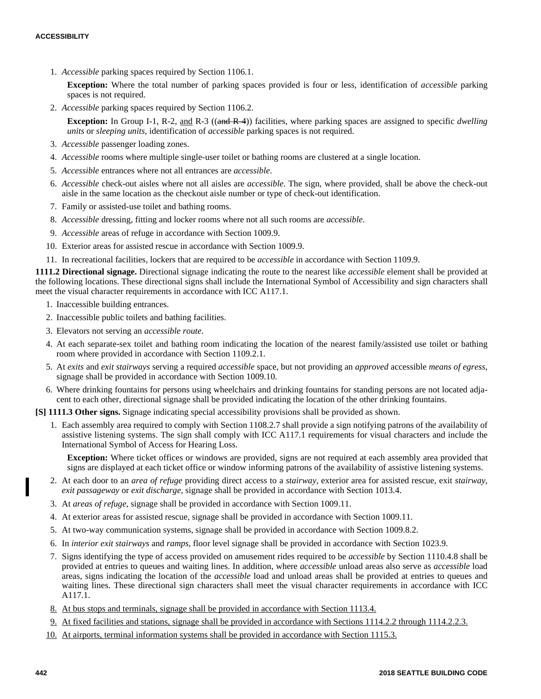1. *Accessible* parking spaces required by Section 1106.1.

**Exception:** Where the total number of parking spaces provided is four or less, identification of *accessible* parking spaces is not required.

2. *Accessible* parking spaces required by Section 1106.2.

**Exception:** In Group I-1, R-2, and R-3 ((and R-4)) facilities, where parking spaces are assigned to specific *dwelling units* or *sleeping units*, identification of *accessible* parking spaces is not required.

- 3. *Accessible* passenger loading zones.
- 4. *Accessible* rooms where multiple single-user toilet or bathing rooms are clustered at a single location.
- 5. *Accessible* entrances where not all entrances are *accessible*.
- 6. *Accessible* check-out aisles where not all aisles are *accessible*. The sign, where provided, shall be above the check-out aisle in the same location as the checkout aisle number or type of check-out identification.
- 7. Family or assisted-use toilet and bathing rooms.
- 8. *Accessible* dressing, fitting and locker rooms where not all such rooms are *accessible*.
- 9. *Accessible* areas of refuge in accordance with Section 1009.9.
- 10. Exterior areas for assisted rescue in accordance with Section 1009.9.
- 11. In recreational facilities, lockers that are required to be *accessible* in accordance with Section 1109.9.

**1111.2 Directional signage.** Directional signage indicating the route to the nearest like *accessible* element shall be provided at the following locations. These directional signs shall include the International Symbol of Accessibility and sign characters shall meet the visual character requirements in accordance with ICC A117.1.

- 1. Inaccessible building entrances.
- 2. Inaccessible public toilets and bathing facilities.
- 3. Elevators not serving an *accessible route*.
- 4. At each separate-sex toilet and bathing room indicating the location of the nearest family/assisted use toilet or bathing room where provided in accordance with Section 1109.2.1.
- 5. At *exits* and *exit stairways* serving a required *accessible* space, but not providing an *approved* accessible *means of egress*, signage shall be provided in accordance with Section 1009.10.
- 6. Where drinking fountains for persons using wheelchairs and drinking fountains for standing persons are not located adjacent to each other, directional signage shall be provided indicating the location of the other drinking fountains.

**[S] 1111.3 Other signs.** Signage indicating special accessibility provisions shall be provided as shown.

1. Each assembly area required to comply with Section 1108.2.7 shall provide a sign notifying patrons of the availability of assistive listening systems. The sign shall comply with ICC A117.1 requirements for visual characters and include the International Symbol of Access for Hearing Loss.

**Exception:** Where ticket offices or windows are provided, signs are not required at each assembly area provided that signs are displayed at each ticket office or window informing patrons of the availability of assistive listening systems.

- 2. At each door to an *area of refuge* providing direct access to a *stairway*, exterior area for assisted rescue, exit *stairway*, *exit passageway* or *exit discharge*, signage shall be provided in accordance with Section 1013.4.
- 3. At *areas of refuge*, signage shall be provided in accordance with Section 1009.11.
- 4. At exterior areas for assisted rescue, signage shall be provided in accordance with Section 1009.11.
- 5. At two-way communication systems, signage shall be provided in accordance with Section 1009.8.2.
- 6. In *interior exit stairways* and *ramps*, floor level signage shall be provided in accordance with Section 1023.9.
- 7. Signs identifying the type of access provided on amusement rides required to be *accessible* by Section 1110.4.8 shall be provided at entries to queues and waiting lines. In addition, where *accessible* unload areas also serve as *accessible* load areas, signs indicating the location of the *accessible* load and unload areas shall be provided at entries to queues and waiting lines. These directional sign characters shall meet the visual character requirements in accordance with ICC A117.1.
- 8. At bus stops and terminals, signage shall be provided in accordance with Section 1113.4.
- 9. At fixed facilities and stations, signage shall be provided in accordance with Sections 1114.2.2 through 1114.2.2.3.
- 10. At airports, terminal information systems shall be provided in accordance with Section 1115.3.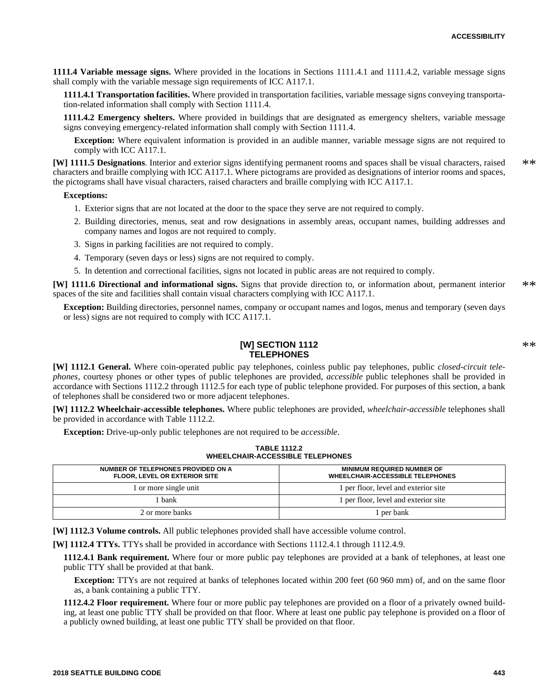**1111.4 Variable message signs.** Where provided in the locations in Sections 1111.4.1 and 1111.4.2, variable message signs shall comply with the variable message sign requirements of ICC A117.1.

**1111.4.1 Transportation facilities.** Where provided in transportation facilities, variable message signs conveying transportation-related information shall comply with Section 1111.4.

**1111.4.2 Emergency shelters.** Where provided in buildings that are designated as emergency shelters, variable message signs conveying emergency-related information shall comply with Section 1111.4.

**Exception:** Where equivalent information is provided in an audible manner, variable message signs are not required to comply with ICC A117.1.

**[W] 1111.5 Designations**. Interior and exterior signs identifying permanent rooms and spaces shall be visual characters, raised characters and braille complying with ICC A117.1. Where pictograms are provided as designations of interior rooms and spaces, the pictograms shall have visual characters, raised characters and braille complying with ICC A117.1.  $**$ 

## **Exceptions:**

- 1. Exterior signs that are not located at the door to the space they serve are not required to comply.
- 2. Building directories, menus, seat and row designations in assembly areas, occupant names, building addresses and company names and logos are not required to comply.
- 3. Signs in parking facilities are not required to comply.
- 4. Temporary (seven days or less) signs are not required to comply.
- 5. In detention and correctional facilities, signs not located in public areas are not required to comply.

**[W] 1111.6 Directional and informational signs.** Signs that provide direction to, or information about, permanent interior spaces of the site and facilities shall contain visual characters complying with ICC A117.1. \*\*

**Exception:** Building directories, personnel names, company or occupant names and logos, menus and temporary (seven days or less) signs are not required to comply with ICC A117.1.

# **[W] SECTION 1112 TELEPHONES**

**[W] 1112.1 General.** Where coin-operated public pay telephones, coinless public pay telephones, public *closed-circuit telephones*, courtesy phones or other types of public telephones are provided, *accessible* public telephones shall be provided in accordance with Sections 1112.2 through 1112.5 for each type of public telephone provided. For purposes of this section, a bank of telephones shall be considered two or more adjacent telephones.

**[W] 1112.2 Wheelchair-accessible telephones.** Where public telephones are provided, *wheelchair-accessible* telephones shall be provided in accordance with Table 1112.2.

**Exception:** Drive-up-only public telephones are not required to be *accessible*.

**TABLE 1112.2 WHEELCHAIR-ACCESSIBLE TELEPHONES**

| NUMBER OF TELEPHONES PROVIDED ON A<br><b>FLOOR, LEVEL OR EXTERIOR SITE</b> | <b>MINIMUM REQUIRED NUMBER OF</b><br><b>WHEELCHAIR-ACCESSIBLE TELEPHONES</b> |
|----------------------------------------------------------------------------|------------------------------------------------------------------------------|
| 1 or more single unit                                                      | 1 per floor, level and exterior site                                         |
| bank                                                                       | 1 per floor, level and exterior site                                         |
| 2 or more banks                                                            | l per bank                                                                   |

**[W] 1112.3 Volume controls.** All public telephones provided shall have accessible volume control.

**[W] 1112.4 TTYs.** TTYs shall be provided in accordance with Sections 1112.4.1 through 1112.4.9.

**1112.4.1 Bank requirement.** Where four or more public pay telephones are provided at a bank of telephones, at least one public TTY shall be provided at that bank.

**Exception:** TTYs are not required at banks of telephones located within 200 feet (60 960 mm) of, and on the same floor as, a bank containing a public TTY.

**1112.4.2 Floor requirement.** Where four or more public pay telephones are provided on a floor of a privately owned building, at least one public TTY shall be provided on that floor. Where at least one public pay telephone is provided on a floor of a publicly owned building, at least one public TTY shall be provided on that floor.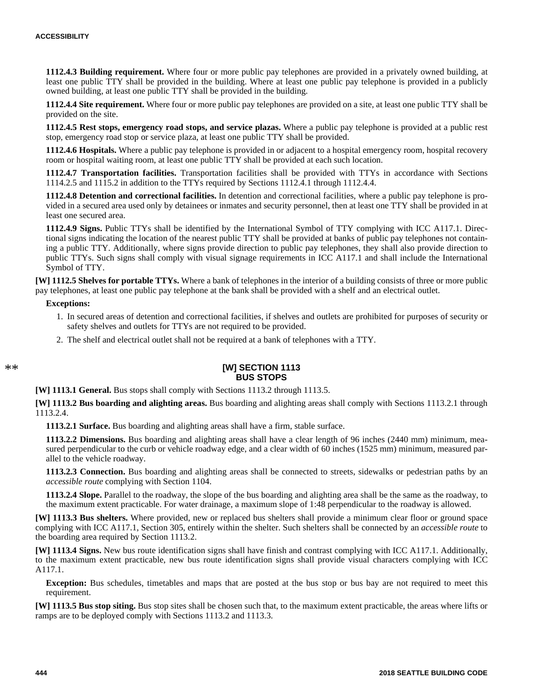**1112.4.3 Building requirement.** Where four or more public pay telephones are provided in a privately owned building, at least one public TTY shall be provided in the building. Where at least one public pay telephone is provided in a publicly owned building, at least one public TTY shall be provided in the building.

**1112.4.4 Site requirement.** Where four or more public pay telephones are provided on a site, at least one public TTY shall be provided on the site.

**1112.4.5 Rest stops, emergency road stops, and service plazas.** Where a public pay telephone is provided at a public rest stop, emergency road stop or service plaza, at least one public TTY shall be provided.

**1112.4.6 Hospitals.** Where a public pay telephone is provided in or adjacent to a hospital emergency room, hospital recovery room or hospital waiting room, at least one public TTY shall be provided at each such location.

**1112.4.7 Transportation facilities.** Transportation facilities shall be provided with TTYs in accordance with Sections 1114.2.5 and 1115.2 in addition to the TTYs required by Sections 1112.4.1 through 1112.4.4.

**1112.4.8 Detention and correctional facilities.** In detention and correctional facilities, where a public pay telephone is provided in a secured area used only by detainees or inmates and security personnel, then at least one TTY shall be provided in at least one secured area.

**1112.4.9 Signs.** Public TTYs shall be identified by the International Symbol of TTY complying with ICC A117.1. Directional signs indicating the location of the nearest public TTY shall be provided at banks of public pay telephones not containing a public TTY. Additionally, where signs provide direction to public pay telephones, they shall also provide direction to public TTYs. Such signs shall comply with visual signage requirements in ICC A117.1 and shall include the International Symbol of TTY.

**[W] 1112.5 Shelves for portable TTYs.** Where a bank of telephones in the interior of a building consists of three or more public pay telephones, at least one public pay telephone at the bank shall be provided with a shelf and an electrical outlet.

#### **Exceptions:**

- 1. In secured areas of detention and correctional facilities, if shelves and outlets are prohibited for purposes of security or safety shelves and outlets for TTYs are not required to be provided.
- 2. The shelf and electrical outlet shall not be required at a bank of telephones with a TTY.

#### **[W] SECTION 1113 BUS STOPS**

**[W] 1113.1 General.** Bus stops shall comply with Sections 1113.2 through 1113.5.

**[W] 1113.2 Bus boarding and alighting areas.** Bus boarding and alighting areas shall comply with Sections 1113.2.1 through 1113.2.4.

**1113.2.1 Surface.** Bus boarding and alighting areas shall have a firm, stable surface.

**1113.2.2 Dimensions.** Bus boarding and alighting areas shall have a clear length of 96 inches (2440 mm) minimum, measured perpendicular to the curb or vehicle roadway edge, and a clear width of 60 inches (1525 mm) minimum, measured parallel to the vehicle roadway.

**1113.2.3 Connection.** Bus boarding and alighting areas shall be connected to streets, sidewalks or pedestrian paths by an *accessible route* complying with Section 1104.

**1113.2.4 Slope.** Parallel to the roadway, the slope of the bus boarding and alighting area shall be the same as the roadway, to the maximum extent practicable. For water drainage, a maximum slope of 1:48 perpendicular to the roadway is allowed.

**[W] 1113.3 Bus shelters.** Where provided, new or replaced bus shelters shall provide a minimum clear floor or ground space complying with ICC A117.1, Section 305, entirely within the shelter. Such shelters shall be connected by an *accessible route* to the boarding area required by Section 1113.2.

**[W] 1113.4 Signs.** New bus route identification signs shall have finish and contrast complying with ICC A117.1. Additionally, to the maximum extent practicable, new bus route identification signs shall provide visual characters complying with ICC A117.1.

**Exception:** Bus schedules, timetables and maps that are posted at the bus stop or bus bay are not required to meet this requirement.

**[W] 1113.5 Bus stop siting.** Bus stop sites shall be chosen such that, to the maximum extent practicable, the areas where lifts or ramps are to be deployed comply with Sections 1113.2 and 1113.3.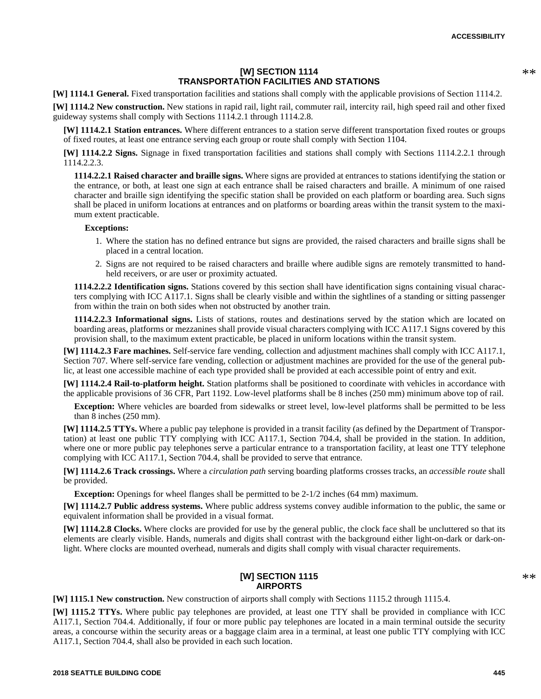# **[W] SECTION 1114 TRANSPORTATION FACILITIES AND STATIONS**

**[W] 1114.1 General.** Fixed transportation facilities and stations shall comply with the applicable provisions of Section 1114.2.

**[W] 1114.2 New construction.** New stations in rapid rail, light rail, commuter rail, intercity rail, high speed rail and other fixed guideway systems shall comply with Sections 1114.2.1 through 1114.2.8.

**[W] 1114.2.1 Station entrances.** Where different entrances to a station serve different transportation fixed routes or groups of fixed routes, at least one entrance serving each group or route shall comply with Section 1104.

**[W] 1114.2.2 Signs.** Signage in fixed transportation facilities and stations shall comply with Sections 1114.2.2.1 through 1114.2.2.3.

**1114.2.2.1 Raised character and braille signs.** Where signs are provided at entrances to stations identifying the station or the entrance, or both, at least one sign at each entrance shall be raised characters and braille. A minimum of one raised character and braille sign identifying the specific station shall be provided on each platform or boarding area. Such signs shall be placed in uniform locations at entrances and on platforms or boarding areas within the transit system to the maximum extent practicable.

## **Exceptions:**

- 1. Where the station has no defined entrance but signs are provided, the raised characters and braille signs shall be placed in a central location.
- 2. Signs are not required to be raised characters and braille where audible signs are remotely transmitted to handheld receivers, or are user or proximity actuated.

**1114.2.2.2 Identification signs.** Stations covered by this section shall have identification signs containing visual characters complying with ICC A117.1. Signs shall be clearly visible and within the sightlines of a standing or sitting passenger from within the train on both sides when not obstructed by another train.

**1114.2.2.3 Informational signs.** Lists of stations, routes and destinations served by the station which are located on boarding areas, platforms or mezzanines shall provide visual characters complying with ICC A117.1 Signs covered by this provision shall, to the maximum extent practicable, be placed in uniform locations within the transit system.

**[W] 1114.2.3 Fare machines.** Self-service fare vending, collection and adjustment machines shall comply with ICC A117.1, Section 707. Where self-service fare vending, collection or adjustment machines are provided for the use of the general public, at least one accessible machine of each type provided shall be provided at each accessible point of entry and exit.

**[W] 1114.2.4 Rail-to-platform height.** Station platforms shall be positioned to coordinate with vehicles in accordance with the applicable provisions of 36 CFR, Part 1192. Low-level platforms shall be 8 inches (250 mm) minimum above top of rail.

**Exception:** Where vehicles are boarded from sidewalks or street level, low-level platforms shall be permitted to be less than 8 inches (250 mm).

**[W] 1114.2.5 TTYs.** Where a public pay telephone is provided in a transit facility (as defined by the Department of Transportation) at least one public TTY complying with ICC A117.1, Section 704.4, shall be provided in the station. In addition, where one or more public pay telephones serve a particular entrance to a transportation facility, at least one TTY telephone complying with ICC A117.1, Section 704.4, shall be provided to serve that entrance.

**[W] 1114.2.6 Track crossings.** Where a *circulation path* serving boarding platforms crosses tracks, an *accessible route* shall be provided.

**Exception:** Openings for wheel flanges shall be permitted to be 2-1/2 inches (64 mm) maximum.

**[W] 1114.2.7 Public address systems.** Where public address systems convey audible information to the public, the same or equivalent information shall be provided in a visual format.

**[W] 1114.2.8 Clocks.** Where clocks are provided for use by the general public, the clock face shall be uncluttered so that its elements are clearly visible. Hands, numerals and digits shall contrast with the background either light-on-dark or dark-onlight. Where clocks are mounted overhead, numerals and digits shall comply with visual character requirements.

# **[W] SECTION 1115 AIRPORTS**

**[W] 1115.1 New construction.** New construction of airports shall comply with Sections 1115.2 through 1115.4.

**[W] 1115.2 TTYs.** Where public pay telephones are provided, at least one TTY shall be provided in compliance with ICC A117.1, Section 704.4. Additionally, if four or more public pay telephones are located in a main terminal outside the security areas, a concourse within the security areas or a baggage claim area in a terminal, at least one public TTY complying with ICC A117.1, Section 704.4, shall also be provided in each such location.

\*\*